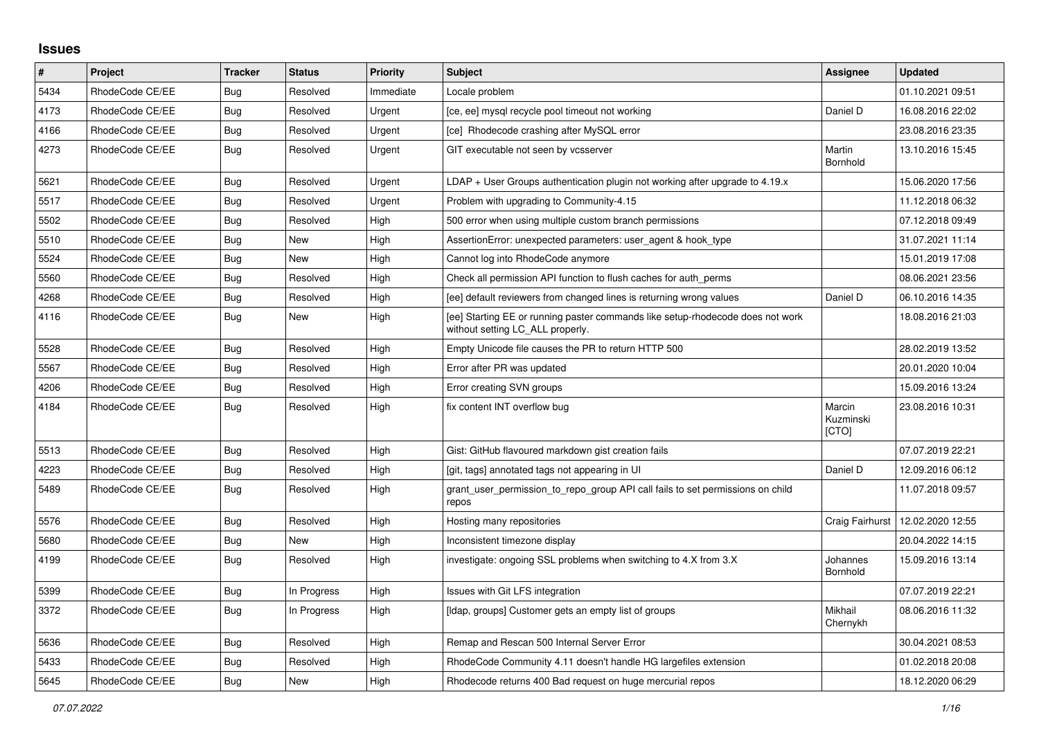## **Issues**

| $\pmb{\#}$ | Project         | <b>Tracker</b> | <b>Status</b> | <b>Priority</b> | <b>Subject</b>                                                                                                     | Assignee                     | <b>Updated</b>   |
|------------|-----------------|----------------|---------------|-----------------|--------------------------------------------------------------------------------------------------------------------|------------------------------|------------------|
| 5434       | RhodeCode CE/EE | Bug            | Resolved      | Immediate       | Locale problem                                                                                                     |                              | 01.10.2021 09:51 |
| 4173       | RhodeCode CE/EE | Bug            | Resolved      | Urgent          | [ce, ee] mysql recycle pool timeout not working                                                                    | Daniel D                     | 16.08.2016 22:02 |
| 4166       | RhodeCode CE/EE | Bug            | Resolved      | Urgent          | [ce] Rhodecode crashing after MySQL error                                                                          |                              | 23.08.2016 23:35 |
| 4273       | RhodeCode CE/EE | Bug            | Resolved      | Urgent          | GIT executable not seen by vcsserver                                                                               | Martin<br>Bornhold           | 13.10.2016 15:45 |
| 5621       | RhodeCode CE/EE | Bug            | Resolved      | Urgent          | $LDAP + User Groups$ authentication plugin not working after upgrade to 4.19. $x$                                  |                              | 15.06.2020 17:56 |
| 5517       | RhodeCode CE/EE | Bug            | Resolved      | Urgent          | Problem with upgrading to Community-4.15                                                                           |                              | 11.12.2018 06:32 |
| 5502       | RhodeCode CE/EE | <b>Bug</b>     | Resolved      | High            | 500 error when using multiple custom branch permissions                                                            |                              | 07.12.2018 09:49 |
| 5510       | RhodeCode CE/EE | Bug            | New           | High            | AssertionError: unexpected parameters: user agent & hook type                                                      |                              | 31.07.2021 11:14 |
| 5524       | RhodeCode CE/EE | Bug            | New           | High            | Cannot log into RhodeCode anymore                                                                                  |                              | 15.01.2019 17:08 |
| 5560       | RhodeCode CE/EE | Bug            | Resolved      | High            | Check all permission API function to flush caches for auth perms                                                   |                              | 08.06.2021 23:56 |
| 4268       | RhodeCode CE/EE | Bug            | Resolved      | High            | [ee] default reviewers from changed lines is returning wrong values                                                | Daniel D                     | 06.10.2016 14:35 |
| 4116       | RhodeCode CE/EE | Bug            | New           | High            | [ee] Starting EE or running paster commands like setup-rhodecode does not work<br>without setting LC_ALL properly. |                              | 18.08.2016 21:03 |
| 5528       | RhodeCode CE/EE | <b>Bug</b>     | Resolved      | High            | Empty Unicode file causes the PR to return HTTP 500                                                                |                              | 28.02.2019 13:52 |
| 5567       | RhodeCode CE/EE | <b>Bug</b>     | Resolved      | High            | Error after PR was updated                                                                                         |                              | 20.01.2020 10:04 |
| 4206       | RhodeCode CE/EE | <b>Bug</b>     | Resolved      | High            | Error creating SVN groups                                                                                          |                              | 15.09.2016 13:24 |
| 4184       | RhodeCode CE/EE | Bug            | Resolved      | High            | fix content INT overflow bug                                                                                       | Marcin<br>Kuzminski<br>[CTO] | 23.08.2016 10:31 |
| 5513       | RhodeCode CE/EE | Bug            | Resolved      | High            | Gist: GitHub flavoured markdown gist creation fails                                                                |                              | 07.07.2019 22:21 |
| 4223       | RhodeCode CE/EE | <b>Bug</b>     | Resolved      | High            | [git, tags] annotated tags not appearing in UI                                                                     | Daniel D                     | 12.09.2016 06:12 |
| 5489       | RhodeCode CE/EE | Bug            | Resolved      | High            | grant_user_permission_to_repo_group API call fails to set permissions on child<br>repos                            |                              | 11.07.2018 09:57 |
| 5576       | RhodeCode CE/EE | Bug            | Resolved      | High            | Hosting many repositories                                                                                          | Craig Fairhurst              | 12.02.2020 12:55 |
| 5680       | RhodeCode CE/EE | Bug            | New           | High            | Inconsistent timezone display                                                                                      |                              | 20.04.2022 14:15 |
| 4199       | RhodeCode CE/EE | Bug            | Resolved      | High            | investigate: ongoing SSL problems when switching to 4.X from 3.X                                                   | Johannes<br>Bornhold         | 15.09.2016 13:14 |
| 5399       | RhodeCode CE/EE | <b>Bug</b>     | In Progress   | High            | Issues with Git LFS integration                                                                                    |                              | 07.07.2019 22:21 |
| 3372       | RhodeCode CE/EE | Bug            | In Progress   | High            | [Idap, groups] Customer gets an empty list of groups                                                               | Mikhail<br>Chernykh          | 08.06.2016 11:32 |
| 5636       | RhodeCode CE/EE | Bug            | Resolved      | High            | Remap and Rescan 500 Internal Server Error                                                                         |                              | 30.04.2021 08:53 |
| 5433       | RhodeCode CE/EE | <b>Bug</b>     | Resolved      | High            | RhodeCode Community 4.11 doesn't handle HG largefiles extension                                                    |                              | 01.02.2018 20:08 |
| 5645       | RhodeCode CE/EE | Bug            | <b>New</b>    | High            | Rhodecode returns 400 Bad request on huge mercurial repos                                                          |                              | 18.12.2020 06:29 |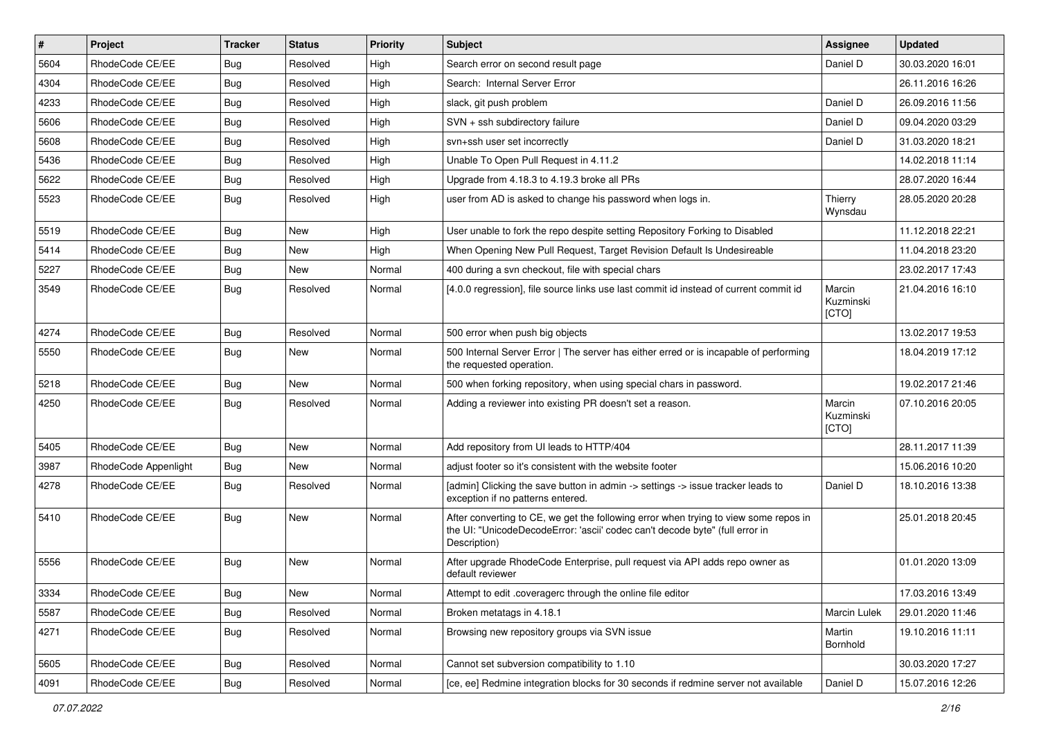| $\vert$ # | Project              | <b>Tracker</b> | <b>Status</b> | <b>Priority</b> | <b>Subject</b>                                                                                                                                                                       | Assignee                     | <b>Updated</b>   |
|-----------|----------------------|----------------|---------------|-----------------|--------------------------------------------------------------------------------------------------------------------------------------------------------------------------------------|------------------------------|------------------|
| 5604      | RhodeCode CE/EE      | <b>Bug</b>     | Resolved      | High            | Search error on second result page                                                                                                                                                   | Daniel D                     | 30.03.2020 16:01 |
| 4304      | RhodeCode CE/EE      | <b>Bug</b>     | Resolved      | High            | Search: Internal Server Error                                                                                                                                                        |                              | 26.11.2016 16:26 |
| 4233      | RhodeCode CE/EE      | Bug            | Resolved      | High            | slack, git push problem                                                                                                                                                              | Daniel D                     | 26.09.2016 11:56 |
| 5606      | RhodeCode CE/EE      | <b>Bug</b>     | Resolved      | High            | SVN + ssh subdirectory failure                                                                                                                                                       | Daniel D                     | 09.04.2020 03:29 |
| 5608      | RhodeCode CE/EE      | <b>Bug</b>     | Resolved      | High            | svn+ssh user set incorrectly                                                                                                                                                         | Daniel D                     | 31.03.2020 18:21 |
| 5436      | RhodeCode CE/EE      | <b>Bug</b>     | Resolved      | High            | Unable To Open Pull Request in 4.11.2                                                                                                                                                |                              | 14.02.2018 11:14 |
| 5622      | RhodeCode CE/EE      | Bug            | Resolved      | High            | Upgrade from 4.18.3 to 4.19.3 broke all PRs                                                                                                                                          |                              | 28.07.2020 16:44 |
| 5523      | RhodeCode CE/EE      | Bug            | Resolved      | High            | user from AD is asked to change his password when logs in.                                                                                                                           | Thierry<br>Wynsdau           | 28.05.2020 20:28 |
| 5519      | RhodeCode CE/EE      | <b>Bug</b>     | <b>New</b>    | High            | User unable to fork the repo despite setting Repository Forking to Disabled                                                                                                          |                              | 11.12.2018 22:21 |
| 5414      | RhodeCode CE/EE      | Bug            | New           | High            | When Opening New Pull Request, Target Revision Default Is Undesireable                                                                                                               |                              | 11.04.2018 23:20 |
| 5227      | RhodeCode CE/EE      | <b>Bug</b>     | New           | Normal          | 400 during a svn checkout, file with special chars                                                                                                                                   |                              | 23.02.2017 17:43 |
| 3549      | RhodeCode CE/EE      | <b>Bug</b>     | Resolved      | Normal          | [4.0.0 regression], file source links use last commit id instead of current commit id                                                                                                | Marcin<br>Kuzminski<br>[CTO] | 21.04.2016 16:10 |
| 4274      | RhodeCode CE/EE      | Bug            | Resolved      | Normal          | 500 error when push big objects                                                                                                                                                      |                              | 13.02.2017 19:53 |
| 5550      | RhodeCode CE/EE      | Bug            | New           | Normal          | 500 Internal Server Error   The server has either erred or is incapable of performing<br>the requested operation.                                                                    |                              | 18.04.2019 17:12 |
| 5218      | RhodeCode CE/EE      | Bug            | <b>New</b>    | Normal          | 500 when forking repository, when using special chars in password.                                                                                                                   |                              | 19.02.2017 21:46 |
| 4250      | RhodeCode CE/EE      | <b>Bug</b>     | Resolved      | Normal          | Adding a reviewer into existing PR doesn't set a reason.                                                                                                                             | Marcin<br>Kuzminski<br>[CTO] | 07.10.2016 20:05 |
| 5405      | RhodeCode CE/EE      | <b>Bug</b>     | New           | Normal          | Add repository from UI leads to HTTP/404                                                                                                                                             |                              | 28.11.2017 11:39 |
| 3987      | RhodeCode Appenlight | <b>Bug</b>     | <b>New</b>    | Normal          | adjust footer so it's consistent with the website footer                                                                                                                             |                              | 15.06.2016 10:20 |
| 4278      | RhodeCode CE/EE      | Bug            | Resolved      | Normal          | [admin] Clicking the save button in admin -> settings -> issue tracker leads to<br>exception if no patterns entered.                                                                 | Daniel D                     | 18.10.2016 13:38 |
| 5410      | RhodeCode CE/EE      | <b>Bug</b>     | New           | Normal          | After converting to CE, we get the following error when trying to view some repos in<br>the UI: "UnicodeDecodeError: 'ascii' codec can't decode byte" (full error in<br>Description) |                              | 25.01.2018 20:45 |
| 5556      | RhodeCode CE/EE      | <b>Bug</b>     | New           | Normal          | After upgrade RhodeCode Enterprise, pull request via API adds repo owner as<br>default reviewer                                                                                      |                              | 01.01.2020 13:09 |
| 3334      | RhodeCode CE/EE      | Bug            | New           | Normal          | Attempt to edit .coveragerc through the online file editor                                                                                                                           |                              | 17.03.2016 13:49 |
| 5587      | RhodeCode CE/EE      | Bug            | Resolved      | Normal          | Broken metatags in 4.18.1                                                                                                                                                            | Marcin Lulek                 | 29.01.2020 11:46 |
| 4271      | RhodeCode CE/EE      | Bug            | Resolved      | Normal          | Browsing new repository groups via SVN issue                                                                                                                                         | Martin<br>Bornhold           | 19.10.2016 11:11 |
| 5605      | RhodeCode CE/EE      | Bug            | Resolved      | Normal          | Cannot set subversion compatibility to 1.10                                                                                                                                          |                              | 30.03.2020 17:27 |
| 4091      | RhodeCode CE/EE      | <b>Bug</b>     | Resolved      | Normal          | [ce, ee] Redmine integration blocks for 30 seconds if redmine server not available                                                                                                   | Daniel D                     | 15.07.2016 12:26 |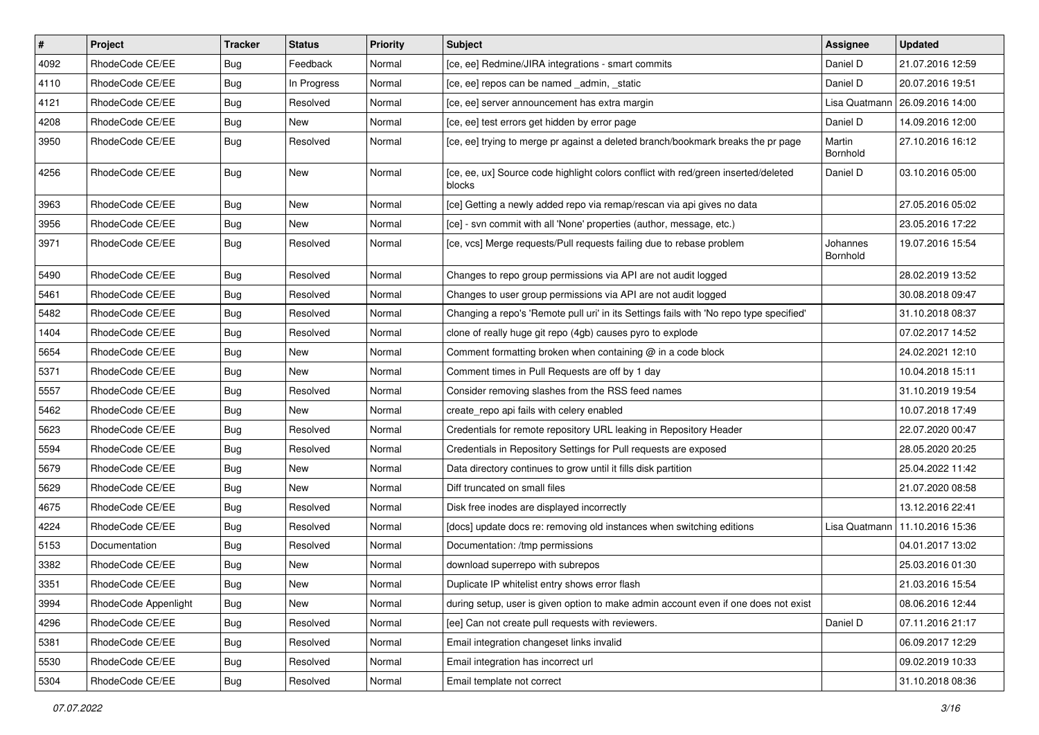| $\vert$ # | Project              | <b>Tracker</b> | <b>Status</b> | <b>Priority</b> | Subject                                                                                      | <b>Assignee</b>      | <b>Updated</b>                   |
|-----------|----------------------|----------------|---------------|-----------------|----------------------------------------------------------------------------------------------|----------------------|----------------------------------|
| 4092      | RhodeCode CE/EE      | Bug            | Feedback      | Normal          | [ce, ee] Redmine/JIRA integrations - smart commits                                           | Daniel D             | 21.07.2016 12:59                 |
| 4110      | RhodeCode CE/EE      | Bug            | In Progress   | Normal          | [ce, ee] repos can be named _admin, _static                                                  | Daniel D             | 20.07.2016 19:51                 |
| 4121      | RhodeCode CE/EE      | Bug            | Resolved      | Normal          | [ce, ee] server announcement has extra margin                                                |                      | Lisa Quatmann   26.09.2016 14:00 |
| 4208      | RhodeCode CE/EE      | Bug            | New           | Normal          | [ce, ee] test errors get hidden by error page                                                | Daniel D             | 14.09.2016 12:00                 |
| 3950      | RhodeCode CE/EE      | Bug            | Resolved      | Normal          | [ce, ee] trying to merge pr against a deleted branch/bookmark breaks the pr page             | Martin<br>Bornhold   | 27.10.2016 16:12                 |
| 4256      | RhodeCode CE/EE      | Bug            | <b>New</b>    | Normal          | [ce, ee, ux] Source code highlight colors conflict with red/green inserted/deleted<br>blocks | Daniel D             | 03.10.2016 05:00                 |
| 3963      | RhodeCode CE/EE      | Bug            | New           | Normal          | [ce] Getting a newly added repo via remap/rescan via api gives no data                       |                      | 27.05.2016 05:02                 |
| 3956      | RhodeCode CE/EE      | Bug            | New           | Normal          | [ce] - svn commit with all 'None' properties (author, message, etc.)                         |                      | 23.05.2016 17:22                 |
| 3971      | RhodeCode CE/EE      | Bug            | Resolved      | Normal          | [ce, vcs] Merge requests/Pull requests failing due to rebase problem                         | Johannes<br>Bornhold | 19.07.2016 15:54                 |
| 5490      | RhodeCode CE/EE      | <b>Bug</b>     | Resolved      | Normal          | Changes to repo group permissions via API are not audit logged                               |                      | 28.02.2019 13:52                 |
| 5461      | RhodeCode CE/EE      | Bug            | Resolved      | Normal          | Changes to user group permissions via API are not audit logged                               |                      | 30.08.2018 09:47                 |
| 5482      | RhodeCode CE/EE      | Bug            | Resolved      | Normal          | Changing a repo's 'Remote pull uri' in its Settings fails with 'No repo type specified'      |                      | 31.10.2018 08:37                 |
| 1404      | RhodeCode CE/EE      | Bug            | Resolved      | Normal          | clone of really huge git repo (4gb) causes pyro to explode                                   |                      | 07.02.2017 14:52                 |
| 5654      | RhodeCode CE/EE      | Bug            | New           | Normal          | Comment formatting broken when containing @ in a code block                                  |                      | 24.02.2021 12:10                 |
| 5371      | RhodeCode CE/EE      | Bug            | New           | Normal          | Comment times in Pull Requests are off by 1 day                                              |                      | 10.04.2018 15:11                 |
| 5557      | RhodeCode CE/EE      | Bug            | Resolved      | Normal          | Consider removing slashes from the RSS feed names                                            |                      | 31.10.2019 19:54                 |
| 5462      | RhodeCode CE/EE      | Bug            | New           | Normal          | create_repo api fails with celery enabled                                                    |                      | 10.07.2018 17:49                 |
| 5623      | RhodeCode CE/EE      | Bug            | Resolved      | Normal          | Credentials for remote repository URL leaking in Repository Header                           |                      | 22.07.2020 00:47                 |
| 5594      | RhodeCode CE/EE      | Bug            | Resolved      | Normal          | Credentials in Repository Settings for Pull requests are exposed                             |                      | 28.05.2020 20:25                 |
| 5679      | RhodeCode CE/EE      | Bug            | New           | Normal          | Data directory continues to grow until it fills disk partition                               |                      | 25.04.2022 11:42                 |
| 5629      | RhodeCode CE/EE      | Bug            | New           | Normal          | Diff truncated on small files                                                                |                      | 21.07.2020 08:58                 |
| 4675      | RhodeCode CE/EE      | Bug            | Resolved      | Normal          | Disk free inodes are displayed incorrectly                                                   |                      | 13.12.2016 22:41                 |
| 4224      | RhodeCode CE/EE      | Bug            | Resolved      | Normal          | [docs] update docs re: removing old instances when switching editions                        | Lisa Quatmann        | 11.10.2016 15:36                 |
| 5153      | Documentation        | Bug            | Resolved      | Normal          | Documentation: /tmp permissions                                                              |                      | 04.01.2017 13:02                 |
| 3382      | RhodeCode CE/EE      | Bug            | <b>New</b>    | Normal          | download superrepo with subrepos                                                             |                      | 25.03.2016 01:30                 |
| 3351      | RhodeCode CE/EE      | Bug            | New           | Normal          | Duplicate IP whitelist entry shows error flash                                               |                      | 21.03.2016 15:54                 |
| 3994      | RhodeCode Appenlight | Bug            | New           | Normal          | during setup, user is given option to make admin account even if one does not exist          |                      | 08.06.2016 12:44                 |
| 4296      | RhodeCode CE/EE      | Bug            | Resolved      | Normal          | [ee] Can not create pull requests with reviewers.                                            | Daniel D             | 07.11.2016 21:17                 |
| 5381      | RhodeCode CE/EE      | Bug            | Resolved      | Normal          | Email integration changeset links invalid                                                    |                      | 06.09.2017 12:29                 |
| 5530      | RhodeCode CE/EE      | Bug            | Resolved      | Normal          | Email integration has incorrect url                                                          |                      | 09.02.2019 10:33                 |
| 5304      | RhodeCode CE/EE      | <b>Bug</b>     | Resolved      | Normal          | Email template not correct                                                                   |                      | 31.10.2018 08:36                 |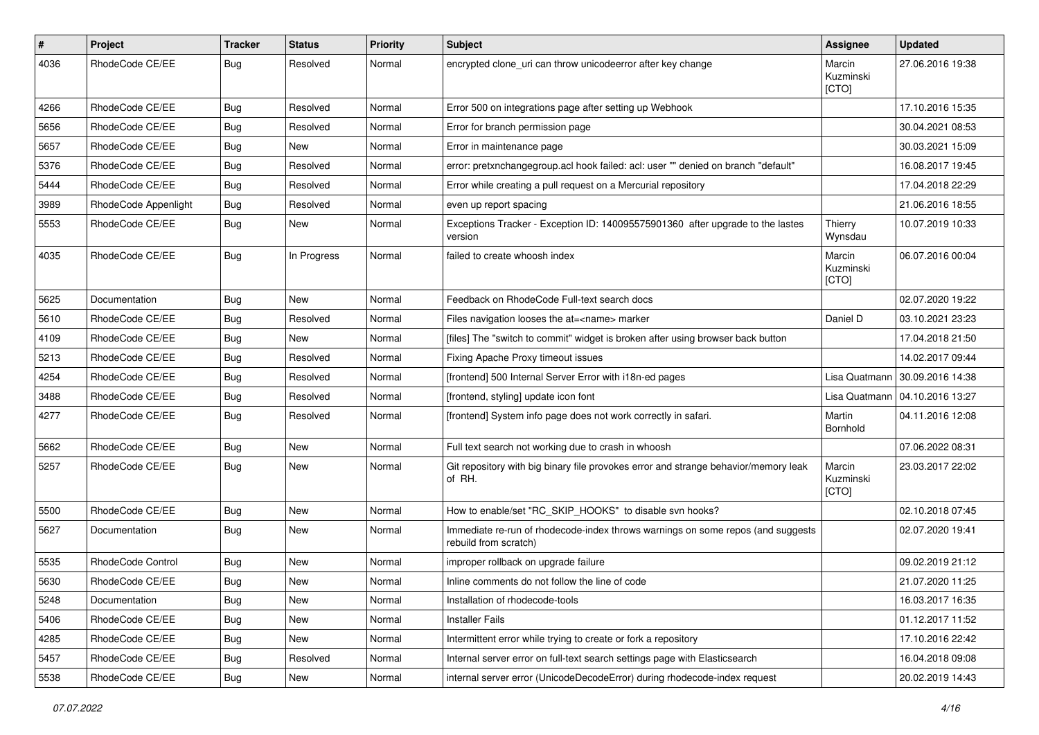| $\pmb{\#}$ | Project              | <b>Tracker</b> | <b>Status</b> | <b>Priority</b> | <b>Subject</b>                                                                                           | Assignee                     | <b>Updated</b>                   |
|------------|----------------------|----------------|---------------|-----------------|----------------------------------------------------------------------------------------------------------|------------------------------|----------------------------------|
| 4036       | RhodeCode CE/EE      | Bug            | Resolved      | Normal          | encrypted clone_uri can throw unicodeerror after key change                                              | Marcin<br>Kuzminski<br>[CTO] | 27.06.2016 19:38                 |
| 4266       | RhodeCode CE/EE      | Bug            | Resolved      | Normal          | Error 500 on integrations page after setting up Webhook                                                  |                              | 17.10.2016 15:35                 |
| 5656       | RhodeCode CE/EE      | Bug            | Resolved      | Normal          | Error for branch permission page                                                                         |                              | 30.04.2021 08:53                 |
| 5657       | RhodeCode CE/EE      | <b>Bug</b>     | New           | Normal          | Error in maintenance page                                                                                |                              | 30.03.2021 15:09                 |
| 5376       | RhodeCode CE/EE      | Bug            | Resolved      | Normal          | error: pretxnchangegroup.acl hook failed: acl: user "" denied on branch "default"                        |                              | 16.08.2017 19:45                 |
| 5444       | RhodeCode CE/EE      | Bug            | Resolved      | Normal          | Error while creating a pull request on a Mercurial repository                                            |                              | 17.04.2018 22:29                 |
| 3989       | RhodeCode Appenlight | Bug            | Resolved      | Normal          | even up report spacing                                                                                   |                              | 21.06.2016 18:55                 |
| 5553       | RhodeCode CE/EE      | <b>Bug</b>     | <b>New</b>    | Normal          | Exceptions Tracker - Exception ID: 140095575901360 after upgrade to the lastes<br>version                | Thierry<br>Wynsdau           | 10.07.2019 10:33                 |
| 4035       | RhodeCode CE/EE      | Bug            | In Progress   | Normal          | failed to create whoosh index                                                                            | Marcin<br>Kuzminski<br>[CTO] | 06.07.2016 00:04                 |
| 5625       | Documentation        | Bug            | <b>New</b>    | Normal          | Feedback on RhodeCode Full-text search docs                                                              |                              | 02.07.2020 19:22                 |
| 5610       | RhodeCode CE/EE      | <b>Bug</b>     | Resolved      | Normal          | Files navigation looses the at= <name> marker</name>                                                     | Daniel D                     | 03.10.2021 23:23                 |
| 4109       | RhodeCode CE/EE      | <b>Bug</b>     | <b>New</b>    | Normal          | [files] The "switch to commit" widget is broken after using browser back button                          |                              | 17.04.2018 21:50                 |
| 5213       | RhodeCode CE/EE      | Bug            | Resolved      | Normal          | Fixing Apache Proxy timeout issues                                                                       |                              | 14.02.2017 09:44                 |
| 4254       | RhodeCode CE/EE      | <b>Bug</b>     | Resolved      | Normal          | [frontend] 500 Internal Server Error with i18n-ed pages                                                  | Lisa Quatmann                | 30.09.2016 14:38                 |
| 3488       | RhodeCode CE/EE      | Bug            | Resolved      | Normal          | [frontend, styling] update icon font                                                                     |                              | Lisa Quatmann   04.10.2016 13:27 |
| 4277       | RhodeCode CE/EE      | Bug            | Resolved      | Normal          | [frontend] System info page does not work correctly in safari.                                           | Martin<br>Bornhold           | 04.11.2016 12:08                 |
| 5662       | RhodeCode CE/EE      | Bug            | <b>New</b>    | Normal          | Full text search not working due to crash in whoosh                                                      |                              | 07.06.2022 08:31                 |
| 5257       | RhodeCode CE/EE      | Bug            | New           | Normal          | Git repository with big binary file provokes error and strange behavior/memory leak<br>of RH.            | Marcin<br>Kuzminski<br>[CTO] | 23.03.2017 22:02                 |
| 5500       | RhodeCode CE/EE      | Bug            | New           | Normal          | How to enable/set "RC SKIP HOOKS" to disable svn hooks?                                                  |                              | 02.10.2018 07:45                 |
| 5627       | Documentation        | <b>Bug</b>     | New           | Normal          | Immediate re-run of rhodecode-index throws warnings on some repos (and suggests<br>rebuild from scratch) |                              | 02.07.2020 19:41                 |
| 5535       | RhodeCode Control    | <b>Bug</b>     | New           | Normal          | improper rollback on upgrade failure                                                                     |                              | 09.02.2019 21:12                 |
| 5630       | RhodeCode CE/EE      | Bug            | New           | Normal          | Inline comments do not follow the line of code                                                           |                              | 21.07.2020 11:25                 |
| 5248       | Documentation        | <b>Bug</b>     | New           | Normal          | Installation of rhodecode-tools                                                                          |                              | 16.03.2017 16:35                 |
| 5406       | RhodeCode CE/EE      | Bug            | New           | Normal          | <b>Installer Fails</b>                                                                                   |                              | 01.12.2017 11:52                 |
| 4285       | RhodeCode CE/EE      | Bug            | New           | Normal          | Intermittent error while trying to create or fork a repository                                           |                              | 17.10.2016 22:42                 |
| 5457       | RhodeCode CE/EE      | <b>Bug</b>     | Resolved      | Normal          | Internal server error on full-text search settings page with Elasticsearch                               |                              | 16.04.2018 09:08                 |
| 5538       | RhodeCode CE/EE      | <b>Bug</b>     | New           | Normal          | internal server error (UnicodeDecodeError) during rhodecode-index request                                |                              | 20.02.2019 14:43                 |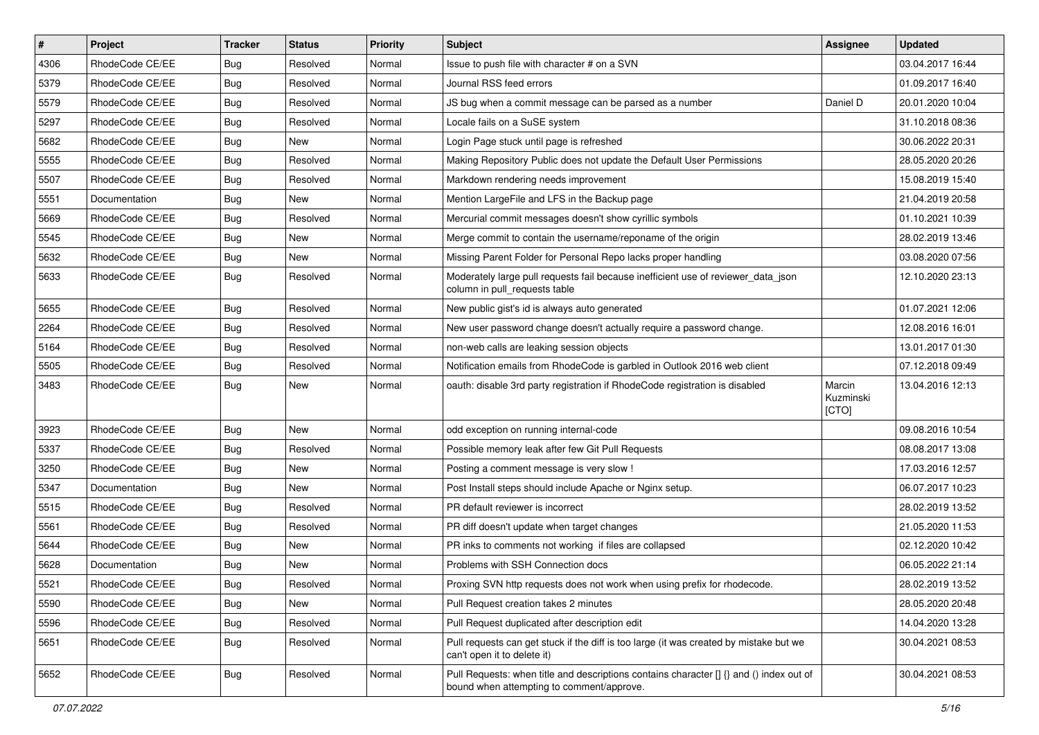| $\vert$ # | Project         | <b>Tracker</b> | <b>Status</b> | <b>Priority</b> | <b>Subject</b>                                                                                                                       | <b>Assignee</b>              | <b>Updated</b>   |
|-----------|-----------------|----------------|---------------|-----------------|--------------------------------------------------------------------------------------------------------------------------------------|------------------------------|------------------|
| 4306      | RhodeCode CE/EE | Bug            | Resolved      | Normal          | Issue to push file with character # on a SVN                                                                                         |                              | 03.04.2017 16:44 |
| 5379      | RhodeCode CE/EE | Bug            | Resolved      | Normal          | Journal RSS feed errors                                                                                                              |                              | 01.09.2017 16:40 |
| 5579      | RhodeCode CE/EE | Bug            | Resolved      | Normal          | JS bug when a commit message can be parsed as a number                                                                               | Daniel D                     | 20.01.2020 10:04 |
| 5297      | RhodeCode CE/EE | Bug            | Resolved      | Normal          | Locale fails on a SuSE system                                                                                                        |                              | 31.10.2018 08:36 |
| 5682      | RhodeCode CE/EE | Bug            | <b>New</b>    | Normal          | Login Page stuck until page is refreshed                                                                                             |                              | 30.06.2022 20:31 |
| 5555      | RhodeCode CE/EE | Bug            | Resolved      | Normal          | Making Repository Public does not update the Default User Permissions                                                                |                              | 28.05.2020 20:26 |
| 5507      | RhodeCode CE/EE | Bug            | Resolved      | Normal          | Markdown rendering needs improvement                                                                                                 |                              | 15.08.2019 15:40 |
| 5551      | Documentation   | Bug            | <b>New</b>    | Normal          | Mention LargeFile and LFS in the Backup page                                                                                         |                              | 21.04.2019 20:58 |
| 5669      | RhodeCode CE/EE | Bug            | Resolved      | Normal          | Mercurial commit messages doesn't show cyrillic symbols                                                                              |                              | 01.10.2021 10:39 |
| 5545      | RhodeCode CE/EE | Bug            | New           | Normal          | Merge commit to contain the username/reponame of the origin                                                                          |                              | 28.02.2019 13:46 |
| 5632      | RhodeCode CE/EE | Bug            | New           | Normal          | Missing Parent Folder for Personal Repo lacks proper handling                                                                        |                              | 03.08.2020 07:56 |
| 5633      | RhodeCode CE/EE | Bug            | Resolved      | Normal          | Moderately large pull requests fail because inefficient use of reviewer_data_json<br>column in pull_requests table                   |                              | 12.10.2020 23:13 |
| 5655      | RhodeCode CE/EE | Bug            | Resolved      | Normal          | New public gist's id is always auto generated                                                                                        |                              | 01.07.2021 12:06 |
| 2264      | RhodeCode CE/EE | Bug            | Resolved      | Normal          | New user password change doesn't actually require a password change.                                                                 |                              | 12.08.2016 16:01 |
| 5164      | RhodeCode CE/EE | Bug            | Resolved      | Normal          | non-web calls are leaking session objects                                                                                            |                              | 13.01.2017 01:30 |
| 5505      | RhodeCode CE/EE | Bug            | Resolved      | Normal          | Notification emails from RhodeCode is garbled in Outlook 2016 web client                                                             |                              | 07.12.2018 09:49 |
| 3483      | RhodeCode CE/EE | Bug            | New           | Normal          | oauth: disable 3rd party registration if RhodeCode registration is disabled                                                          | Marcin<br>Kuzminski<br>[CTO] | 13.04.2016 12:13 |
| 3923      | RhodeCode CE/EE | Bug            | New           | Normal          | odd exception on running internal-code                                                                                               |                              | 09.08.2016 10:54 |
| 5337      | RhodeCode CE/EE | Bug            | Resolved      | Normal          | Possible memory leak after few Git Pull Requests                                                                                     |                              | 08.08.2017 13:08 |
| 3250      | RhodeCode CE/EE | Bug            | <b>New</b>    | Normal          | Posting a comment message is very slow !                                                                                             |                              | 17.03.2016 12:57 |
| 5347      | Documentation   | Bug            | <b>New</b>    | Normal          | Post Install steps should include Apache or Nginx setup.                                                                             |                              | 06.07.2017 10:23 |
| 5515      | RhodeCode CE/EE | <b>Bug</b>     | Resolved      | Normal          | PR default reviewer is incorrect                                                                                                     |                              | 28.02.2019 13:52 |
| 5561      | RhodeCode CE/EE | Bug            | Resolved      | Normal          | PR diff doesn't update when target changes                                                                                           |                              | 21.05.2020 11:53 |
| 5644      | RhodeCode CE/EE | Bug            | New           | Normal          | PR inks to comments not working if files are collapsed                                                                               |                              | 02.12.2020 10:42 |
| 5628      | Documentation   | Bug            | New           | Normal          | Problems with SSH Connection docs                                                                                                    |                              | 06.05.2022 21:14 |
| 5521      | RhodeCode CE/EE | <b>Bug</b>     | Resolved      | Normal          | Proxing SVN http requests does not work when using prefix for rhodecode.                                                             |                              | 28.02.2019 13:52 |
| 5590      | RhodeCode CE/EE | <b>Bug</b>     | New           | Normal          | Pull Request creation takes 2 minutes                                                                                                |                              | 28.05.2020 20:48 |
| 5596      | RhodeCode CE/EE | <b>Bug</b>     | Resolved      | Normal          | Pull Request duplicated after description edit                                                                                       |                              | 14.04.2020 13:28 |
| 5651      | RhodeCode CE/EE | <b>Bug</b>     | Resolved      | Normal          | Pull requests can get stuck if the diff is too large (it was created by mistake but we<br>can't open it to delete it)                |                              | 30.04.2021 08:53 |
| 5652      | RhodeCode CE/EE | <b>Bug</b>     | Resolved      | Normal          | Pull Requests: when title and descriptions contains character [] {} and () index out of<br>bound when attempting to comment/approve. |                              | 30.04.2021 08:53 |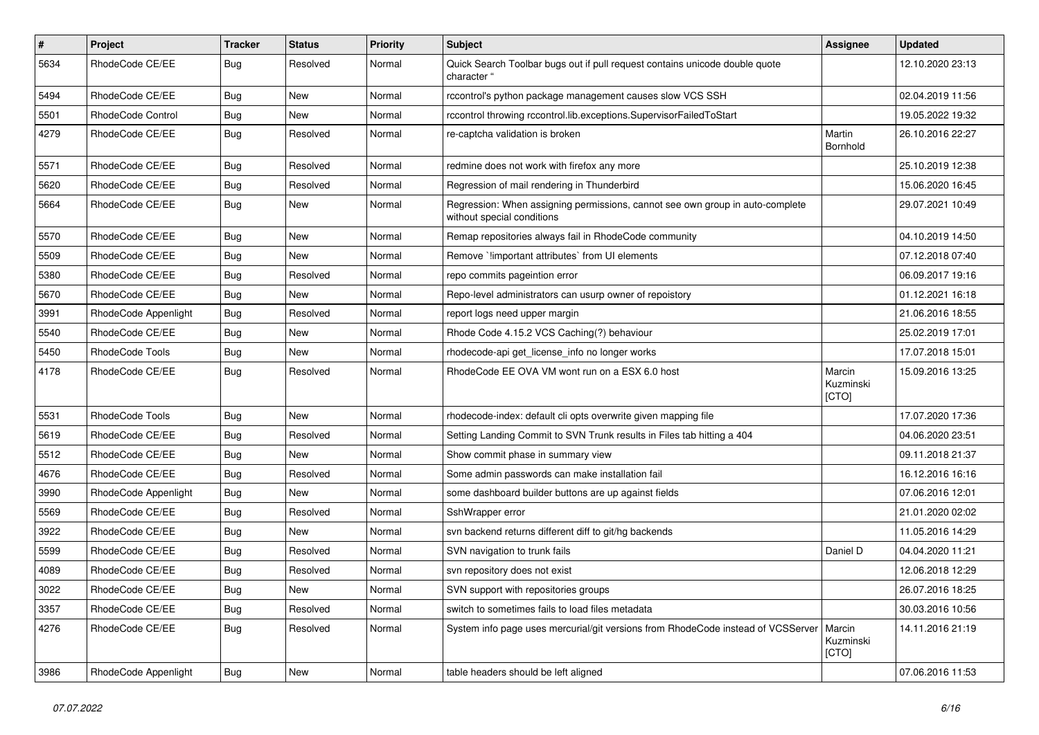| $\pmb{\#}$ | <b>Project</b>       | <b>Tracker</b> | <b>Status</b> | <b>Priority</b> | <b>Subject</b>                                                                                              | Assignee                     | <b>Updated</b>   |
|------------|----------------------|----------------|---------------|-----------------|-------------------------------------------------------------------------------------------------------------|------------------------------|------------------|
| 5634       | RhodeCode CE/EE      | Bug            | Resolved      | Normal          | Quick Search Toolbar bugs out if pull request contains unicode double quote<br>character "                  |                              | 12.10.2020 23:13 |
| 5494       | RhodeCode CE/EE      | Bug            | <b>New</b>    | Normal          | rccontrol's python package management causes slow VCS SSH                                                   |                              | 02.04.2019 11:56 |
| 5501       | RhodeCode Control    | Bug            | New           | Normal          | rccontrol throwing rccontrol.lib.exceptions.SupervisorFailedToStart                                         |                              | 19.05.2022 19:32 |
| 4279       | RhodeCode CE/EE      | Bug            | Resolved      | Normal          | re-captcha validation is broken                                                                             | Martin<br>Bornhold           | 26.10.2016 22:27 |
| 5571       | RhodeCode CE/EE      | Bug            | Resolved      | Normal          | redmine does not work with firefox any more                                                                 |                              | 25.10.2019 12:38 |
| 5620       | RhodeCode CE/EE      | Bug            | Resolved      | Normal          | Regression of mail rendering in Thunderbird                                                                 |                              | 15.06.2020 16:45 |
| 5664       | RhodeCode CE/EE      | Bug            | New           | Normal          | Regression: When assigning permissions, cannot see own group in auto-complete<br>without special conditions |                              | 29.07.2021 10:49 |
| 5570       | RhodeCode CE/EE      | Bug            | New           | Normal          | Remap repositories always fail in RhodeCode community                                                       |                              | 04.10.2019 14:50 |
| 5509       | RhodeCode CE/EE      | Bug            | New           | Normal          | Remove `!important attributes` from UI elements                                                             |                              | 07.12.2018 07:40 |
| 5380       | RhodeCode CE/EE      | Bug            | Resolved      | Normal          | repo commits pageintion error                                                                               |                              | 06.09.2017 19:16 |
| 5670       | RhodeCode CE/EE      | Bug            | New           | Normal          | Repo-level administrators can usurp owner of repoistory                                                     |                              | 01.12.2021 16:18 |
| 3991       | RhodeCode Appenlight | Bug            | Resolved      | Normal          | report logs need upper margin                                                                               |                              | 21.06.2016 18:55 |
| 5540       | RhodeCode CE/EE      | Bug            | New           | Normal          | Rhode Code 4.15.2 VCS Caching(?) behaviour                                                                  |                              | 25.02.2019 17:01 |
| 5450       | RhodeCode Tools      | Bug            | New           | Normal          | rhodecode-api get license info no longer works                                                              |                              | 17.07.2018 15:01 |
| 4178       | RhodeCode CE/EE      | Bug            | Resolved      | Normal          | RhodeCode EE OVA VM wont run on a ESX 6.0 host                                                              | Marcin<br>Kuzminski<br>[CTO] | 15.09.2016 13:25 |
| 5531       | RhodeCode Tools      | Bug            | New           | Normal          | rhodecode-index: default cli opts overwrite given mapping file                                              |                              | 17.07.2020 17:36 |
| 5619       | RhodeCode CE/EE      | <b>Bug</b>     | Resolved      | Normal          | Setting Landing Commit to SVN Trunk results in Files tab hitting a 404                                      |                              | 04.06.2020 23:51 |
| 5512       | RhodeCode CE/EE      | Bug            | <b>New</b>    | Normal          | Show commit phase in summary view                                                                           |                              | 09.11.2018 21:37 |
| 4676       | RhodeCode CE/EE      | <b>Bug</b>     | Resolved      | Normal          | Some admin passwords can make installation fail                                                             |                              | 16.12.2016 16:16 |
| 3990       | RhodeCode Appenlight | Bug            | New           | Normal          | some dashboard builder buttons are up against fields                                                        |                              | 07.06.2016 12:01 |
| 5569       | RhodeCode CE/EE      | Bug            | Resolved      | Normal          | SshWrapper error                                                                                            |                              | 21.01.2020 02:02 |
| 3922       | RhodeCode CE/EE      | Bug            | <b>New</b>    | Normal          | svn backend returns different diff to git/hg backends                                                       |                              | 11.05.2016 14:29 |
| 5599       | RhodeCode CE/EE      | Bug            | Resolved      | Normal          | SVN navigation to trunk fails                                                                               | Daniel D                     | 04.04.2020 11:21 |
| 4089       | RhodeCode CE/EE      | <b>Bug</b>     | Resolved      | Normal          | svn repository does not exist                                                                               |                              | 12.06.2018 12:29 |
| 3022       | RhodeCode CE/EE      | <b>Bug</b>     | New           | Normal          | SVN support with repositories groups                                                                        |                              | 26.07.2016 18:25 |
| 3357       | RhodeCode CE/EE      | <b>Bug</b>     | Resolved      | Normal          | switch to sometimes fails to load files metadata                                                            |                              | 30.03.2016 10:56 |
| 4276       | RhodeCode CE/EE      | Bug            | Resolved      | Normal          | System info page uses mercurial/git versions from RhodeCode instead of VCSServer   Marcin                   | Kuzminski<br>[CTO]           | 14.11.2016 21:19 |
| 3986       | RhodeCode Appenlight | <b>Bug</b>     | New           | Normal          | table headers should be left aligned                                                                        |                              | 07.06.2016 11:53 |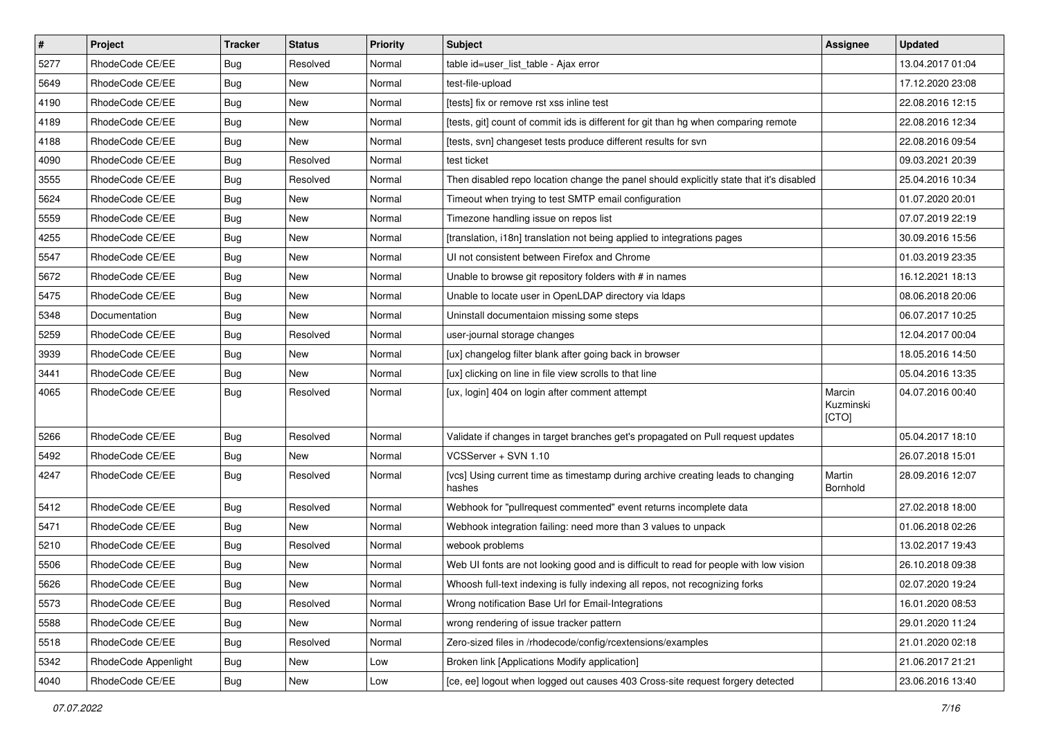| $\sharp$ | Project              | <b>Tracker</b> | <b>Status</b> | Priority | <b>Subject</b>                                                                            | <b>Assignee</b>              | <b>Updated</b>   |
|----------|----------------------|----------------|---------------|----------|-------------------------------------------------------------------------------------------|------------------------------|------------------|
| 5277     | RhodeCode CE/EE      | Bug            | Resolved      | Normal   | table id=user list table - Ajax error                                                     |                              | 13.04.2017 01:04 |
| 5649     | RhodeCode CE/EE      | Bug            | New           | Normal   | test-file-upload                                                                          |                              | 17.12.2020 23:08 |
| 4190     | RhodeCode CE/EE      | Bug            | New           | Normal   | [tests] fix or remove rst xss inline test                                                 |                              | 22.08.2016 12:15 |
| 4189     | RhodeCode CE/EE      | Bug            | New           | Normal   | [tests, git] count of commit ids is different for git than hg when comparing remote       |                              | 22.08.2016 12:34 |
| 4188     | RhodeCode CE/EE      | Bug            | <b>New</b>    | Normal   | [tests, svn] changeset tests produce different results for svn                            |                              | 22.08.2016 09:54 |
| 4090     | RhodeCode CE/EE      | Bug            | Resolved      | Normal   | test ticket                                                                               |                              | 09.03.2021 20:39 |
| 3555     | RhodeCode CE/EE      | <b>Bug</b>     | Resolved      | Normal   | Then disabled repo location change the panel should explicitly state that it's disabled   |                              | 25.04.2016 10:34 |
| 5624     | RhodeCode CE/EE      | Bug            | New           | Normal   | Timeout when trying to test SMTP email configuration                                      |                              | 01.07.2020 20:01 |
| 5559     | RhodeCode CE/EE      | Bug            | New           | Normal   | Timezone handling issue on repos list                                                     |                              | 07.07.2019 22:19 |
| 4255     | RhodeCode CE/EE      | Bug            | New           | Normal   | [translation, i18n] translation not being applied to integrations pages                   |                              | 30.09.2016 15:56 |
| 5547     | RhodeCode CE/EE      | Bug            | New           | Normal   | UI not consistent between Firefox and Chrome                                              |                              | 01.03.2019 23:35 |
| 5672     | RhodeCode CE/EE      | Bug            | New           | Normal   | Unable to browse git repository folders with # in names                                   |                              | 16.12.2021 18:13 |
| 5475     | RhodeCode CE/EE      | Bug            | <b>New</b>    | Normal   | Unable to locate user in OpenLDAP directory via Idaps                                     |                              | 08.06.2018 20:06 |
| 5348     | Documentation        | <b>Bug</b>     | New           | Normal   | Uninstall documentaion missing some steps                                                 |                              | 06.07.2017 10:25 |
| 5259     | RhodeCode CE/EE      | Bug            | Resolved      | Normal   | user-journal storage changes                                                              |                              | 12.04.2017 00:04 |
| 3939     | RhodeCode CE/EE      | <b>Bug</b>     | New           | Normal   | [ux] changelog filter blank after going back in browser                                   |                              | 18.05.2016 14:50 |
| 3441     | RhodeCode CE/EE      | Bug            | New           | Normal   | [ux] clicking on line in file view scrolls to that line                                   |                              | 05.04.2016 13:35 |
| 4065     | RhodeCode CE/EE      | Bug            | Resolved      | Normal   | [ux, login] 404 on login after comment attempt                                            | Marcin<br>Kuzminski<br>[CTO] | 04.07.2016 00:40 |
| 5266     | RhodeCode CE/EE      | Bug            | Resolved      | Normal   | Validate if changes in target branches get's propagated on Pull request updates           |                              | 05.04.2017 18:10 |
| 5492     | RhodeCode CE/EE      | Bug            | New           | Normal   | VCSServer + SVN 1.10                                                                      |                              | 26.07.2018 15:01 |
| 4247     | RhodeCode CE/EE      | Bug            | Resolved      | Normal   | [vcs] Using current time as timestamp during archive creating leads to changing<br>hashes | Martin<br>Bornhold           | 28.09.2016 12:07 |
| 5412     | RhodeCode CE/EE      | Bug            | Resolved      | Normal   | Webhook for "pullrequest commented" event returns incomplete data                         |                              | 27.02.2018 18:00 |
| 5471     | RhodeCode CE/EE      | Bug            | <b>New</b>    | Normal   | Webhook integration failing: need more than 3 values to unpack                            |                              | 01.06.2018 02:26 |
| 5210     | RhodeCode CE/EE      | Bug            | Resolved      | Normal   | webook problems                                                                           |                              | 13.02.2017 19:43 |
| 5506     | RhodeCode CE/EE      | Bug            | New           | Normal   | Web UI fonts are not looking good and is difficult to read for people with low vision     |                              | 26.10.2018 09:38 |
| 5626     | RhodeCode CE/EE      | Bug            | New           | Normal   | Whoosh full-text indexing is fully indexing all repos, not recognizing forks              |                              | 02.07.2020 19:24 |
| 5573     | RhodeCode CE/EE      | Bug            | Resolved      | Normal   | Wrong notification Base Url for Email-Integrations                                        |                              | 16.01.2020 08:53 |
| 5588     | RhodeCode CE/EE      | <b>Bug</b>     | New           | Normal   | wrong rendering of issue tracker pattern                                                  |                              | 29.01.2020 11:24 |
| 5518     | RhodeCode CE/EE      | Bug            | Resolved      | Normal   | Zero-sized files in /rhodecode/config/rcextensions/examples                               |                              | 21.01.2020 02:18 |
| 5342     | RhodeCode Appenlight | Bug            | New           | Low      | Broken link [Applications Modify application]                                             |                              | 21.06.2017 21:21 |
| 4040     | RhodeCode CE/EE      | <b>Bug</b>     | New           | Low      | [ce, ee] logout when logged out causes 403 Cross-site request forgery detected            |                              | 23.06.2016 13:40 |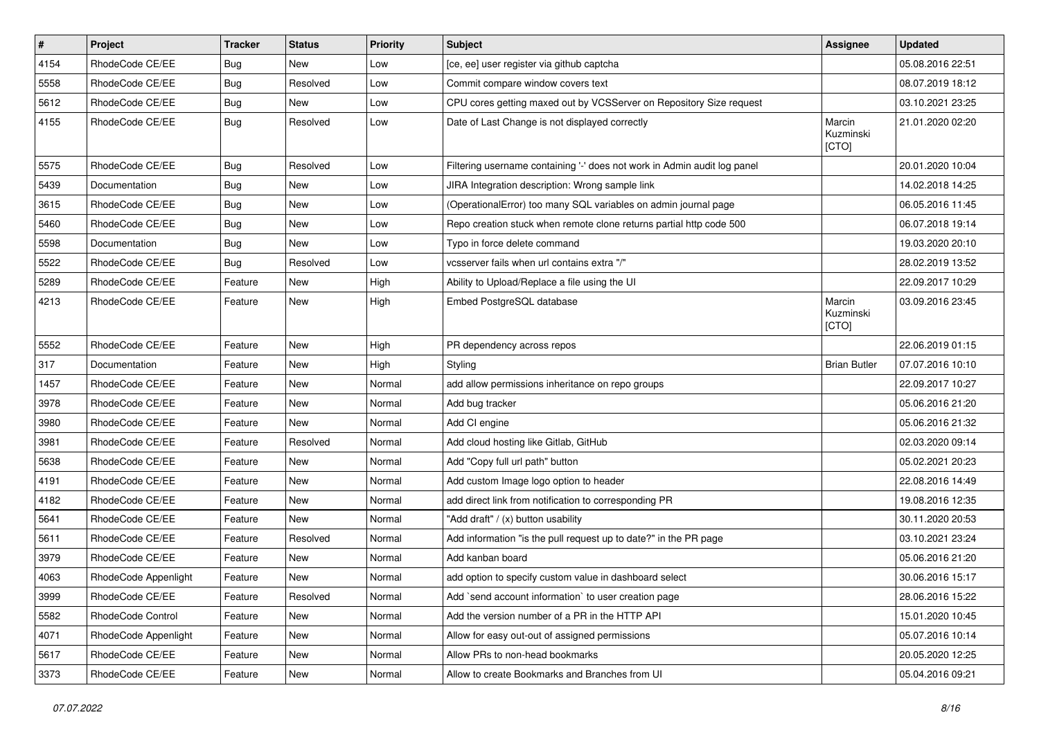| $\vert$ # | Project              | <b>Tracker</b> | <b>Status</b> | <b>Priority</b> | <b>Subject</b>                                                           | <b>Assignee</b>              | <b>Updated</b>   |
|-----------|----------------------|----------------|---------------|-----------------|--------------------------------------------------------------------------|------------------------------|------------------|
| 4154      | RhodeCode CE/EE      | <b>Bug</b>     | New           | Low             | [ce, ee] user register via github captcha                                |                              | 05.08.2016 22:51 |
| 5558      | RhodeCode CE/EE      | Bug            | Resolved      | Low             | Commit compare window covers text                                        |                              | 08.07.2019 18:12 |
| 5612      | RhodeCode CE/EE      | Bug            | New           | Low             | CPU cores getting maxed out by VCSServer on Repository Size request      |                              | 03.10.2021 23:25 |
| 4155      | RhodeCode CE/EE      | Bug            | Resolved      | Low             | Date of Last Change is not displayed correctly                           | Marcin<br>Kuzminski<br>[CTO] | 21.01.2020 02:20 |
| 5575      | RhodeCode CE/EE      | Bug            | Resolved      | Low             | Filtering username containing '-' does not work in Admin audit log panel |                              | 20.01.2020 10:04 |
| 5439      | Documentation        | Bug            | <b>New</b>    | Low             | JIRA Integration description: Wrong sample link                          |                              | 14.02.2018 14:25 |
| 3615      | RhodeCode CE/EE      | <b>Bug</b>     | New           | Low             | (OperationalError) too many SQL variables on admin journal page          |                              | 06.05.2016 11:45 |
| 5460      | RhodeCode CE/EE      | Bug            | <b>New</b>    | Low             | Repo creation stuck when remote clone returns partial http code 500      |                              | 06.07.2018 19:14 |
| 5598      | Documentation        | Bug            | New           | Low             | Typo in force delete command                                             |                              | 19.03.2020 20:10 |
| 5522      | RhodeCode CE/EE      | Bug            | Resolved      | Low             | vcsserver fails when url contains extra "/"                              |                              | 28.02.2019 13:52 |
| 5289      | RhodeCode CE/EE      | Feature        | <b>New</b>    | High            | Ability to Upload/Replace a file using the UI                            |                              | 22.09.2017 10:29 |
| 4213      | RhodeCode CE/EE      | Feature        | New           | High            | Embed PostgreSQL database                                                | Marcin<br>Kuzminski<br>[CTO] | 03.09.2016 23:45 |
| 5552      | RhodeCode CE/EE      | Feature        | <b>New</b>    | High            | PR dependency across repos                                               |                              | 22.06.2019 01:15 |
| 317       | Documentation        | Feature        | <b>New</b>    | High            | Styling                                                                  | <b>Brian Butler</b>          | 07.07.2016 10:10 |
| 1457      | RhodeCode CE/EE      | Feature        | New           | Normal          | add allow permissions inheritance on repo groups                         |                              | 22.09.2017 10:27 |
| 3978      | RhodeCode CE/EE      | Feature        | New           | Normal          | Add bug tracker                                                          |                              | 05.06.2016 21:20 |
| 3980      | RhodeCode CE/EE      | Feature        | <b>New</b>    | Normal          | Add CI engine                                                            |                              | 05.06.2016 21:32 |
| 3981      | RhodeCode CE/EE      | Feature        | Resolved      | Normal          | Add cloud hosting like Gitlab, GitHub                                    |                              | 02.03.2020 09:14 |
| 5638      | RhodeCode CE/EE      | Feature        | <b>New</b>    | Normal          | Add "Copy full url path" button                                          |                              | 05.02.2021 20:23 |
| 4191      | RhodeCode CE/EE      | Feature        | New           | Normal          | Add custom Image logo option to header                                   |                              | 22.08.2016 14:49 |
| 4182      | RhodeCode CE/EE      | Feature        | <b>New</b>    | Normal          | add direct link from notification to corresponding PR                    |                              | 19.08.2016 12:35 |
| 5641      | RhodeCode CE/EE      | Feature        | <b>New</b>    | Normal          | "Add draft" / (x) button usability                                       |                              | 30.11.2020 20:53 |
| 5611      | RhodeCode CE/EE      | Feature        | Resolved      | Normal          | Add information "is the pull request up to date?" in the PR page         |                              | 03.10.2021 23:24 |
| 3979      | RhodeCode CE/EE      | Feature        | New           | Normal          | Add kanban board                                                         |                              | 05.06.2016 21:20 |
| 4063      | RhodeCode Appenlight | Feature        | New           | Normal          | add option to specify custom value in dashboard select                   |                              | 30.06.2016 15:17 |
| 3999      | RhodeCode CE/EE      | Feature        | Resolved      | Normal          | Add `send account information` to user creation page                     |                              | 28.06.2016 15:22 |
| 5582      | RhodeCode Control    | Feature        | <b>New</b>    | Normal          | Add the version number of a PR in the HTTP API                           |                              | 15.01.2020 10:45 |
| 4071      | RhodeCode Appenlight | Feature        | New           | Normal          | Allow for easy out-out of assigned permissions                           |                              | 05.07.2016 10:14 |
| 5617      | RhodeCode CE/EE      | Feature        | New           | Normal          | Allow PRs to non-head bookmarks                                          |                              | 20.05.2020 12:25 |
| 3373      | RhodeCode CE/EE      | Feature        | New           | Normal          | Allow to create Bookmarks and Branches from UI                           |                              | 05.04.2016 09:21 |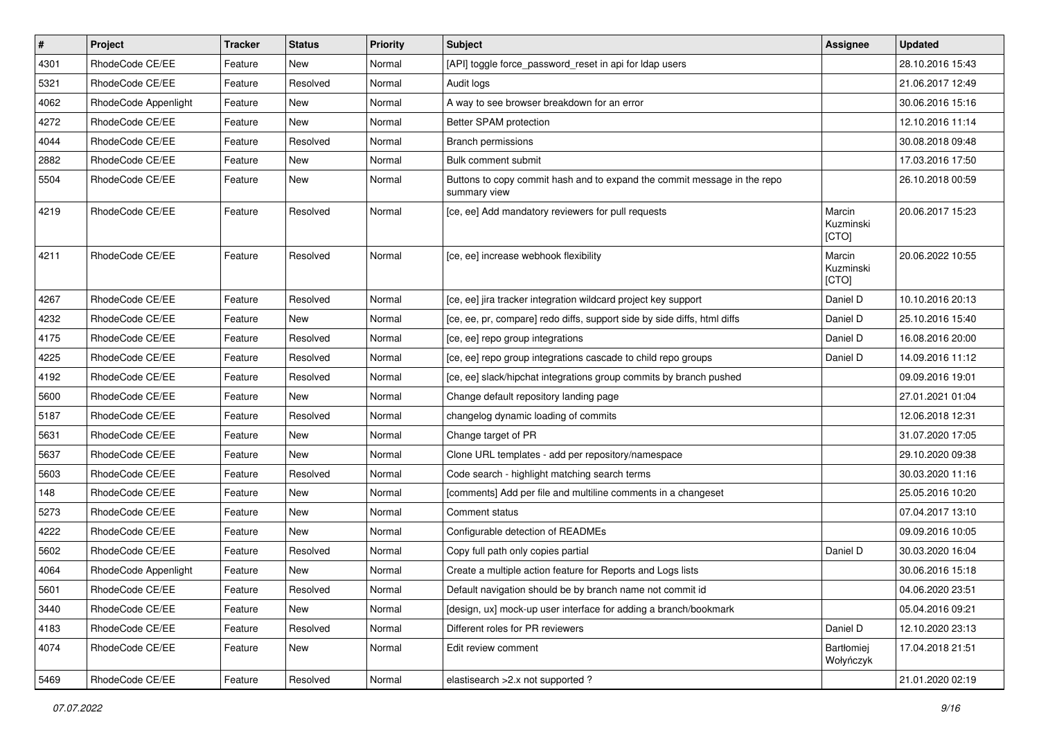| $\pmb{\#}$ | Project              | <b>Tracker</b> | <b>Status</b> | <b>Priority</b> | <b>Subject</b>                                                                           | Assignee                     | <b>Updated</b>   |
|------------|----------------------|----------------|---------------|-----------------|------------------------------------------------------------------------------------------|------------------------------|------------------|
| 4301       | RhodeCode CE/EE      | Feature        | New           | Normal          | [API] toggle force password reset in api for Idap users                                  |                              | 28.10.2016 15:43 |
| 5321       | RhodeCode CE/EE      | Feature        | Resolved      | Normal          | Audit logs                                                                               |                              | 21.06.2017 12:49 |
| 4062       | RhodeCode Appenlight | Feature        | New           | Normal          | A way to see browser breakdown for an error                                              |                              | 30.06.2016 15:16 |
| 4272       | RhodeCode CE/EE      | Feature        | New           | Normal          | Better SPAM protection                                                                   |                              | 12.10.2016 11:14 |
| 4044       | RhodeCode CE/EE      | Feature        | Resolved      | Normal          | <b>Branch permissions</b>                                                                |                              | 30.08.2018 09:48 |
| 2882       | RhodeCode CE/EE      | Feature        | New           | Normal          | Bulk comment submit                                                                      |                              | 17.03.2016 17:50 |
| 5504       | RhodeCode CE/EE      | Feature        | New           | Normal          | Buttons to copy commit hash and to expand the commit message in the repo<br>summary view |                              | 26.10.2018 00:59 |
| 4219       | RhodeCode CE/EE      | Feature        | Resolved      | Normal          | [ce, ee] Add mandatory reviewers for pull requests                                       | Marcin<br>Kuzminski<br>[CTO] | 20.06.2017 15:23 |
| 4211       | RhodeCode CE/EE      | Feature        | Resolved      | Normal          | [ce, ee] increase webhook flexibility                                                    | Marcin<br>Kuzminski<br>[CTO] | 20.06.2022 10:55 |
| 4267       | RhodeCode CE/EE      | Feature        | Resolved      | Normal          | [ce, ee] jira tracker integration wildcard project key support                           | Daniel D                     | 10.10.2016 20:13 |
| 4232       | RhodeCode CE/EE      | Feature        | <b>New</b>    | Normal          | [ce, ee, pr, compare] redo diffs, support side by side diffs, html diffs                 | Daniel D                     | 25.10.2016 15:40 |
| 4175       | RhodeCode CE/EE      | Feature        | Resolved      | Normal          | [ce, ee] repo group integrations                                                         | Daniel D                     | 16.08.2016 20:00 |
| 4225       | RhodeCode CE/EE      | Feature        | Resolved      | Normal          | [ce, ee] repo group integrations cascade to child repo groups                            | Daniel D                     | 14.09.2016 11:12 |
| 4192       | RhodeCode CE/EE      | Feature        | Resolved      | Normal          | [ce, ee] slack/hipchat integrations group commits by branch pushed                       |                              | 09.09.2016 19:01 |
| 5600       | RhodeCode CE/EE      | Feature        | <b>New</b>    | Normal          | Change default repository landing page                                                   |                              | 27.01.2021 01:04 |
| 5187       | RhodeCode CE/EE      | Feature        | Resolved      | Normal          | changelog dynamic loading of commits                                                     |                              | 12.06.2018 12:31 |
| 5631       | RhodeCode CE/EE      | Feature        | New           | Normal          | Change target of PR                                                                      |                              | 31.07.2020 17:05 |
| 5637       | RhodeCode CE/EE      | Feature        | New           | Normal          | Clone URL templates - add per repository/namespace                                       |                              | 29.10.2020 09:38 |
| 5603       | RhodeCode CE/EE      | Feature        | Resolved      | Normal          | Code search - highlight matching search terms                                            |                              | 30.03.2020 11:16 |
| 148        | RhodeCode CE/EE      | Feature        | New           | Normal          | [comments] Add per file and multiline comments in a changeset                            |                              | 25.05.2016 10:20 |
| 5273       | RhodeCode CE/EE      | Feature        | <b>New</b>    | Normal          | Comment status                                                                           |                              | 07.04.2017 13:10 |
| 4222       | RhodeCode CE/EE      | Feature        | New           | Normal          | Configurable detection of READMEs                                                        |                              | 09.09.2016 10:05 |
| 5602       | RhodeCode CE/EE      | Feature        | Resolved      | Normal          | Copy full path only copies partial                                                       | Daniel D                     | 30.03.2020 16:04 |
| 4064       | RhodeCode Appenlight | Feature        | <b>New</b>    | Normal          | Create a multiple action feature for Reports and Logs lists                              |                              | 30.06.2016 15:18 |
| 5601       | RhodeCode CE/EE      | Feature        | Resolved      | Normal          | Default navigation should be by branch name not commit id                                |                              | 04.06.2020 23:51 |
| 3440       | RhodeCode CE/EE      | Feature        | New           | Normal          | [design, ux] mock-up user interface for adding a branch/bookmark                         |                              | 05.04.2016 09:21 |
| 4183       | RhodeCode CE/EE      | Feature        | Resolved      | Normal          | Different roles for PR reviewers                                                         | Daniel D                     | 12.10.2020 23:13 |
| 4074       | RhodeCode CE/EE      | Feature        | New           | Normal          | Edit review comment                                                                      | Bartłomiej<br>Wołyńczyk      | 17.04.2018 21:51 |
| 5469       | RhodeCode CE/EE      | Feature        | Resolved      | Normal          | elastisearch > 2.x not supported ?                                                       |                              | 21.01.2020 02:19 |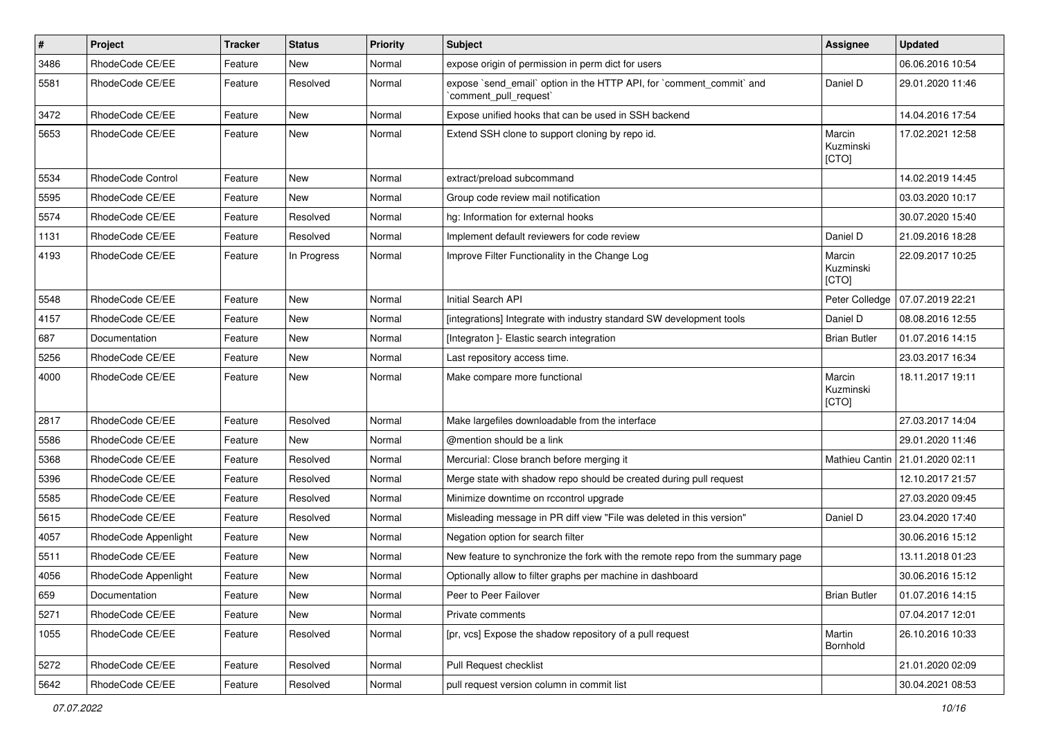| $\sharp$ | Project              | Tracker | <b>Status</b> | <b>Priority</b> | Subject                                                                                        | <b>Assignee</b>              | <b>Updated</b>   |
|----------|----------------------|---------|---------------|-----------------|------------------------------------------------------------------------------------------------|------------------------------|------------------|
| 3486     | RhodeCode CE/EE      | Feature | New           | Normal          | expose origin of permission in perm dict for users                                             |                              | 06.06.2016 10:54 |
| 5581     | RhodeCode CE/EE      | Feature | Resolved      | Normal          | expose `send_email` option in the HTTP API, for `comment_commit` and<br>`comment pull request` | Daniel D                     | 29.01.2020 11:46 |
| 3472     | RhodeCode CE/EE      | Feature | New           | Normal          | Expose unified hooks that can be used in SSH backend                                           |                              | 14.04.2016 17:54 |
| 5653     | RhodeCode CE/EE      | Feature | New           | Normal          | Extend SSH clone to support cloning by repo id.                                                | Marcin<br>Kuzminski<br>[CTO] | 17.02.2021 12:58 |
| 5534     | RhodeCode Control    | Feature | <b>New</b>    | Normal          | extract/preload subcommand                                                                     |                              | 14.02.2019 14:45 |
| 5595     | RhodeCode CE/EE      | Feature | New           | Normal          | Group code review mail notification                                                            |                              | 03.03.2020 10:17 |
| 5574     | RhodeCode CE/EE      | Feature | Resolved      | Normal          | hg: Information for external hooks                                                             |                              | 30.07.2020 15:40 |
| 1131     | RhodeCode CE/EE      | Feature | Resolved      | Normal          | Implement default reviewers for code review                                                    | Daniel D                     | 21.09.2016 18:28 |
| 4193     | RhodeCode CE/EE      | Feature | In Progress   | Normal          | Improve Filter Functionality in the Change Log                                                 | Marcin<br>Kuzminski<br>[CTO] | 22.09.2017 10:25 |
| 5548     | RhodeCode CE/EE      | Feature | New           | Normal          | Initial Search API                                                                             | Peter Colledge               | 07.07.2019 22:21 |
| 4157     | RhodeCode CE/EE      | Feature | New           | Normal          | [integrations] Integrate with industry standard SW development tools                           | Daniel D                     | 08.08.2016 12:55 |
| 687      | Documentation        | Feature | New           | Normal          | [Integraton ]- Elastic search integration                                                      | <b>Brian Butler</b>          | 01.07.2016 14:15 |
| 5256     | RhodeCode CE/EE      | Feature | <b>New</b>    | Normal          | Last repository access time.                                                                   |                              | 23.03.2017 16:34 |
| 4000     | RhodeCode CE/EE      | Feature | New           | Normal          | Make compare more functional                                                                   | Marcin<br>Kuzminski<br>[CTO] | 18.11.2017 19:11 |
| 2817     | RhodeCode CE/EE      | Feature | Resolved      | Normal          | Make largefiles downloadable from the interface                                                |                              | 27.03.2017 14:04 |
| 5586     | RhodeCode CE/EE      | Feature | New           | Normal          | @mention should be a link                                                                      |                              | 29.01.2020 11:46 |
| 5368     | RhodeCode CE/EE      | Feature | Resolved      | Normal          | Mercurial: Close branch before merging it                                                      | Mathieu Cantin               | 21.01.2020 02:11 |
| 5396     | RhodeCode CE/EE      | Feature | Resolved      | Normal          | Merge state with shadow repo should be created during pull request                             |                              | 12.10.2017 21:57 |
| 5585     | RhodeCode CE/EE      | Feature | Resolved      | Normal          | Minimize downtime on rccontrol upgrade                                                         |                              | 27.03.2020 09:45 |
| 5615     | RhodeCode CE/EE      | Feature | Resolved      | Normal          | Misleading message in PR diff view "File was deleted in this version"                          | Daniel D                     | 23.04.2020 17:40 |
| 4057     | RhodeCode Appenlight | Feature | New           | Normal          | Negation option for search filter                                                              |                              | 30.06.2016 15:12 |
| 5511     | RhodeCode CE/EE      | Feature | New           | Normal          | New feature to synchronize the fork with the remote repo from the summary page                 |                              | 13.11.2018 01:23 |
| 4056     | RhodeCode Appenlight | Feature | New           | Normal          | Optionally allow to filter graphs per machine in dashboard                                     |                              | 30.06.2016 15:12 |
| 659      | Documentation        | Feature | New           | Normal          | Peer to Peer Failover                                                                          | <b>Brian Butler</b>          | 01.07.2016 14:15 |
| 5271     | RhodeCode CE/EE      | Feature | New           | Normal          | Private comments                                                                               |                              | 07.04.2017 12:01 |
| 1055     | RhodeCode CE/EE      | Feature | Resolved      | Normal          | [pr, vcs] Expose the shadow repository of a pull request                                       | Martin<br>Bornhold           | 26.10.2016 10:33 |
| 5272     | RhodeCode CE/EE      | Feature | Resolved      | Normal          | Pull Request checklist                                                                         |                              | 21.01.2020 02:09 |
| 5642     | RhodeCode CE/EE      | Feature | Resolved      | Normal          | pull request version column in commit list                                                     |                              | 30.04.2021 08:53 |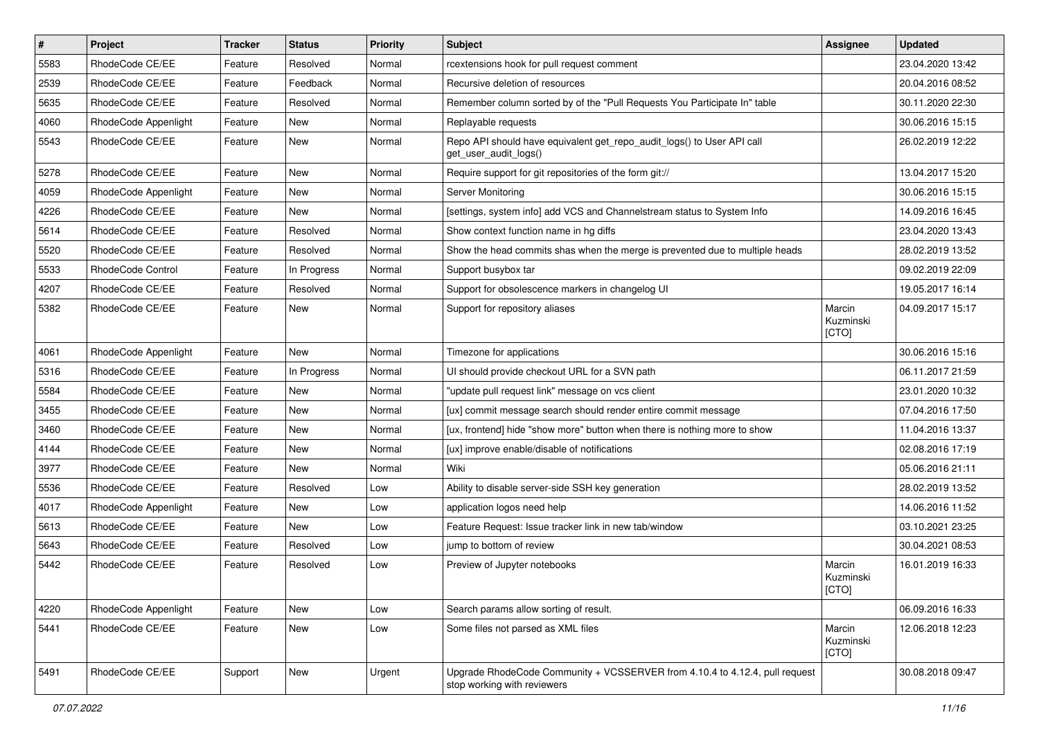| $\pmb{\#}$ | Project              | <b>Tracker</b> | <b>Status</b> | Priority | Subject                                                                                                    | Assignee                      | <b>Updated</b>   |
|------------|----------------------|----------------|---------------|----------|------------------------------------------------------------------------------------------------------------|-------------------------------|------------------|
| 5583       | RhodeCode CE/EE      | Feature        | Resolved      | Normal   | rcextensions hook for pull request comment                                                                 |                               | 23.04.2020 13:42 |
| 2539       | RhodeCode CE/EE      | Feature        | Feedback      | Normal   | Recursive deletion of resources                                                                            |                               | 20.04.2016 08:52 |
| 5635       | RhodeCode CE/EE      | Feature        | Resolved      | Normal   | Remember column sorted by of the "Pull Requests You Participate In" table                                  |                               | 30.11.2020 22:30 |
| 4060       | RhodeCode Appenlight | Feature        | New           | Normal   | Replayable requests                                                                                        |                               | 30.06.2016 15:15 |
| 5543       | RhodeCode CE/EE      | Feature        | <b>New</b>    | Normal   | Repo API should have equivalent get_repo_audit_logs() to User API call<br>get_user_audit_logs()            |                               | 26.02.2019 12:22 |
| 5278       | RhodeCode CE/EE      | Feature        | <b>New</b>    | Normal   | Require support for git repositories of the form git://                                                    |                               | 13.04.2017 15:20 |
| 4059       | RhodeCode Appenlight | Feature        | <b>New</b>    | Normal   | Server Monitoring                                                                                          |                               | 30.06.2016 15:15 |
| 4226       | RhodeCode CE/EE      | Feature        | <b>New</b>    | Normal   | [settings, system info] add VCS and Channelstream status to System Info                                    |                               | 14.09.2016 16:45 |
| 5614       | RhodeCode CE/EE      | Feature        | Resolved      | Normal   | Show context function name in hg diffs                                                                     |                               | 23.04.2020 13:43 |
| 5520       | RhodeCode CE/EE      | Feature        | Resolved      | Normal   | Show the head commits shas when the merge is prevented due to multiple heads                               |                               | 28.02.2019 13:52 |
| 5533       | RhodeCode Control    | Feature        | In Progress   | Normal   | Support busybox tar                                                                                        |                               | 09.02.2019 22:09 |
| 4207       | RhodeCode CE/EE      | Feature        | Resolved      | Normal   | Support for obsolescence markers in changelog UI                                                           |                               | 19.05.2017 16:14 |
| 5382       | RhodeCode CE/EE      | Feature        | <b>New</b>    | Normal   | Support for repository aliases                                                                             | Marcin<br>Kuzminski<br>[CTO]  | 04.09.2017 15:17 |
| 4061       | RhodeCode Appenlight | Feature        | <b>New</b>    | Normal   | Timezone for applications                                                                                  |                               | 30.06.2016 15:16 |
| 5316       | RhodeCode CE/EE      | Feature        | In Progress   | Normal   | UI should provide checkout URL for a SVN path                                                              |                               | 06.11.2017 21:59 |
| 5584       | RhodeCode CE/EE      | Feature        | New           | Normal   | "update pull request link" message on vcs client                                                           |                               | 23.01.2020 10:32 |
| 3455       | RhodeCode CE/EE      | Feature        | New           | Normal   | [ux] commit message search should render entire commit message                                             |                               | 07.04.2016 17:50 |
| 3460       | RhodeCode CE/EE      | Feature        | <b>New</b>    | Normal   | [ux, frontend] hide "show more" button when there is nothing more to show                                  |                               | 11.04.2016 13:37 |
| 4144       | RhodeCode CE/EE      | Feature        | New           | Normal   | [ux] improve enable/disable of notifications                                                               |                               | 02.08.2016 17:19 |
| 3977       | RhodeCode CE/EE      | Feature        | <b>New</b>    | Normal   | Wiki                                                                                                       |                               | 05.06.2016 21:11 |
| 5536       | RhodeCode CE/EE      | Feature        | Resolved      | Low      | Ability to disable server-side SSH key generation                                                          |                               | 28.02.2019 13:52 |
| 4017       | RhodeCode Appenlight | Feature        | New           | Low      | application logos need help                                                                                |                               | 14.06.2016 11:52 |
| 5613       | RhodeCode CE/EE      | Feature        | New           | Low      | Feature Request: Issue tracker link in new tab/window                                                      |                               | 03.10.2021 23:25 |
| 5643       | RhodeCode CE/EE      | Feature        | Resolved      | Low      | jump to bottom of review                                                                                   |                               | 30.04.2021 08:53 |
| 5442       | RhodeCode CE/EE      | Feature        | Resolved      | Low      | Preview of Jupyter notebooks                                                                               | Marcin<br>Kuzminski<br> [CTO] | 16.01.2019 16:33 |
| 4220       | RhodeCode Appenlight | Feature        | New           | Low      | Search params allow sorting of result.                                                                     |                               | 06.09.2016 16:33 |
| 5441       | RhodeCode CE/EE      | Feature        | New           | Low      | Some files not parsed as XML files                                                                         | Marcin<br>Kuzminski<br>[CTO]  | 12.06.2018 12:23 |
| 5491       | RhodeCode CE/EE      | Support        | New           | Urgent   | Upgrade RhodeCode Community + VCSSERVER from 4.10.4 to 4.12.4, pull request<br>stop working with reviewers |                               | 30.08.2018 09:47 |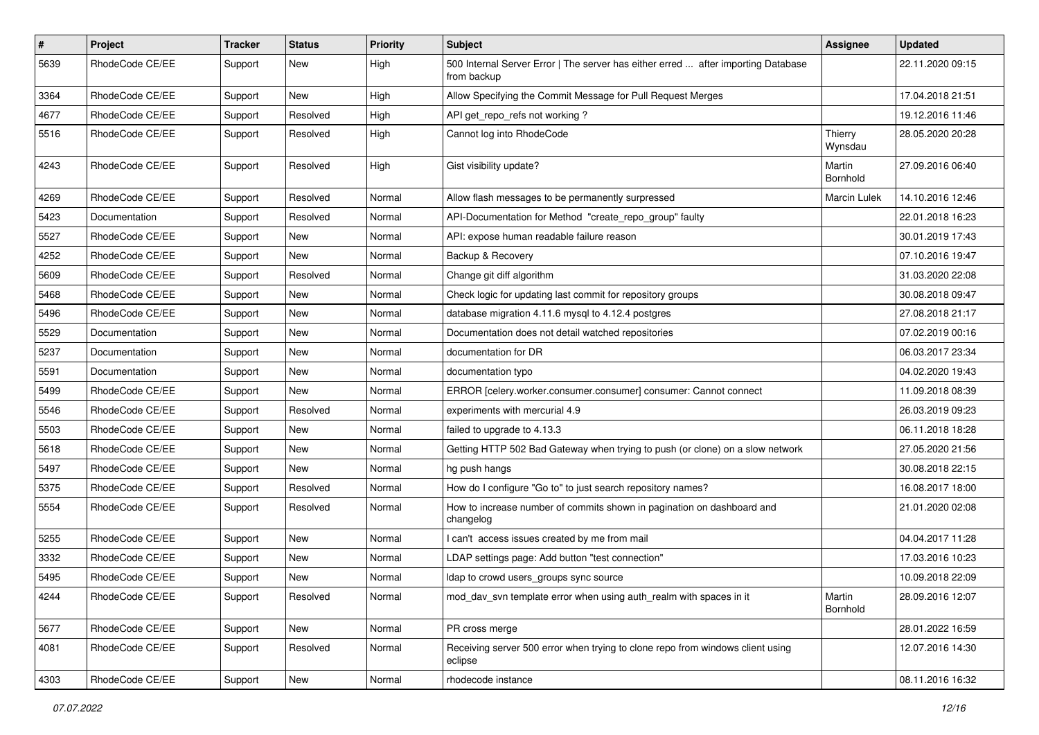| $\vert$ # | Project         | Tracker | <b>Status</b> | <b>Priority</b> | <b>Subject</b>                                                                                   | Assignee           | <b>Updated</b>   |
|-----------|-----------------|---------|---------------|-----------------|--------------------------------------------------------------------------------------------------|--------------------|------------------|
| 5639      | RhodeCode CE/EE | Support | New           | High            | 500 Internal Server Error   The server has either erred  after importing Database<br>from backup |                    | 22.11.2020 09:15 |
| 3364      | RhodeCode CE/EE | Support | <b>New</b>    | High            | Allow Specifying the Commit Message for Pull Request Merges                                      |                    | 17.04.2018 21:51 |
| 4677      | RhodeCode CE/EE | Support | Resolved      | High            | API get_repo_refs not working?                                                                   |                    | 19.12.2016 11:46 |
| 5516      | RhodeCode CE/EE | Support | Resolved      | High            | Cannot log into RhodeCode                                                                        | Thierry<br>Wynsdau | 28.05.2020 20:28 |
| 4243      | RhodeCode CE/EE | Support | Resolved      | High            | Gist visibility update?                                                                          | Martin<br>Bornhold | 27.09.2016 06:40 |
| 4269      | RhodeCode CE/EE | Support | Resolved      | Normal          | Allow flash messages to be permanently surpressed                                                | Marcin Lulek       | 14.10.2016 12:46 |
| 5423      | Documentation   | Support | Resolved      | Normal          | API-Documentation for Method "create_repo_group" faulty                                          |                    | 22.01.2018 16:23 |
| 5527      | RhodeCode CE/EE | Support | New           | Normal          | API: expose human readable failure reason                                                        |                    | 30.01.2019 17:43 |
| 4252      | RhodeCode CE/EE | Support | New           | Normal          | Backup & Recovery                                                                                |                    | 07.10.2016 19:47 |
| 5609      | RhodeCode CE/EE | Support | Resolved      | Normal          | Change git diff algorithm                                                                        |                    | 31.03.2020 22:08 |
| 5468      | RhodeCode CE/EE | Support | New           | Normal          | Check logic for updating last commit for repository groups                                       |                    | 30.08.2018 09:47 |
| 5496      | RhodeCode CE/EE | Support | New           | Normal          | database migration 4.11.6 mysql to 4.12.4 postgres                                               |                    | 27.08.2018 21:17 |
| 5529      | Documentation   | Support | New           | Normal          | Documentation does not detail watched repositories                                               |                    | 07.02.2019 00:16 |
| 5237      | Documentation   | Support | New           | Normal          | documentation for DR                                                                             |                    | 06.03.2017 23:34 |
| 5591      | Documentation   | Support | New           | Normal          | documentation typo                                                                               |                    | 04.02.2020 19:43 |
| 5499      | RhodeCode CE/EE | Support | New           | Normal          | ERROR [celery.worker.consumer.consumer] consumer: Cannot connect                                 |                    | 11.09.2018 08:39 |
| 5546      | RhodeCode CE/EE | Support | Resolved      | Normal          | experiments with mercurial 4.9                                                                   |                    | 26.03.2019 09:23 |
| 5503      | RhodeCode CE/EE | Support | New           | Normal          | failed to upgrade to 4.13.3                                                                      |                    | 06.11.2018 18:28 |
| 5618      | RhodeCode CE/EE | Support | New           | Normal          | Getting HTTP 502 Bad Gateway when trying to push (or clone) on a slow network                    |                    | 27.05.2020 21:56 |
| 5497      | RhodeCode CE/EE | Support | New           | Normal          | hg push hangs                                                                                    |                    | 30.08.2018 22:15 |
| 5375      | RhodeCode CE/EE | Support | Resolved      | Normal          | How do I configure "Go to" to just search repository names?                                      |                    | 16.08.2017 18:00 |
| 5554      | RhodeCode CE/EE | Support | Resolved      | Normal          | How to increase number of commits shown in pagination on dashboard and<br>changelog              |                    | 21.01.2020 02:08 |
| 5255      | RhodeCode CE/EE | Support | New           | Normal          | I can't access issues created by me from mail                                                    |                    | 04.04.2017 11:28 |
| 3332      | RhodeCode CE/EE | Support | New           | Normal          | LDAP settings page: Add button "test connection"                                                 |                    | 17.03.2016 10:23 |
| 5495      | RhodeCode CE/EE | Support | New           | Normal          | Idap to crowd users_groups sync source                                                           |                    | 10.09.2018 22:09 |
| 4244      | RhodeCode CE/EE | Support | Resolved      | Normal          | mod_dav_svn template error when using auth_realm with spaces in it                               | Martin<br>Bornhold | 28.09.2016 12:07 |
| 5677      | RhodeCode CE/EE | Support | New           | Normal          | PR cross merge                                                                                   |                    | 28.01.2022 16:59 |
| 4081      | RhodeCode CE/EE | Support | Resolved      | Normal          | Receiving server 500 error when trying to clone repo from windows client using<br>eclipse        |                    | 12.07.2016 14:30 |
| 4303      | RhodeCode CE/EE | Support | New           | Normal          | rhodecode instance                                                                               |                    | 08.11.2016 16:32 |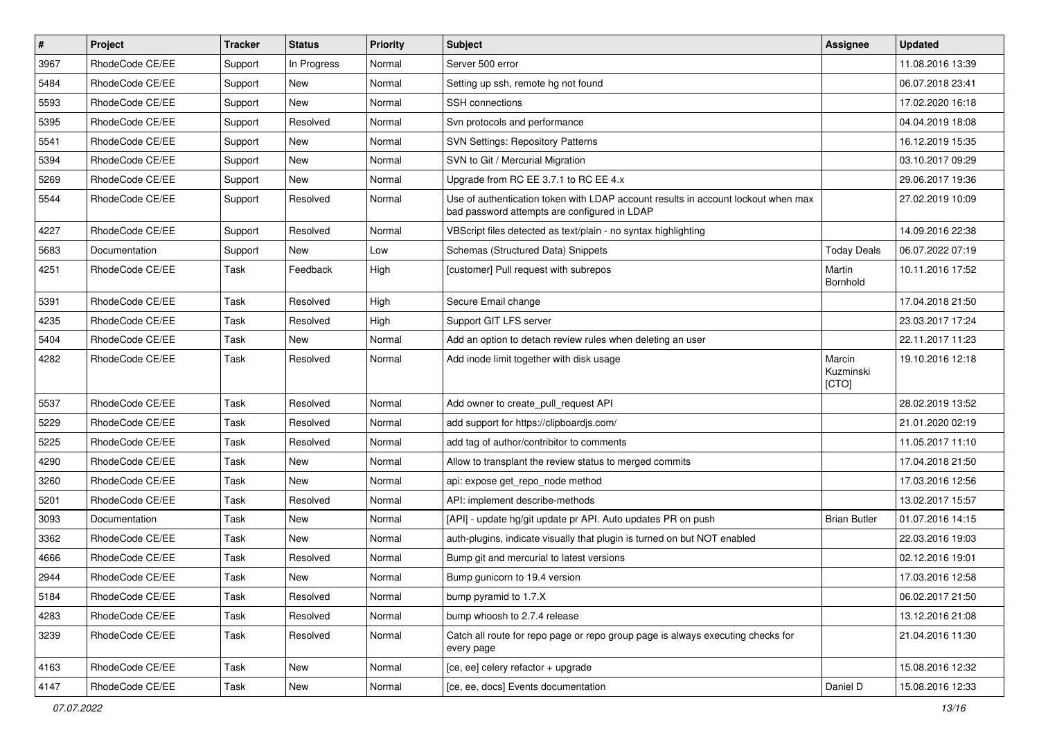| $\vert$ # | Project         | <b>Tracker</b> | <b>Status</b> | <b>Priority</b> | Subject                                                                                                                           | Assignee                     | <b>Updated</b>   |
|-----------|-----------------|----------------|---------------|-----------------|-----------------------------------------------------------------------------------------------------------------------------------|------------------------------|------------------|
| 3967      | RhodeCode CE/EE | Support        | In Progress   | Normal          | Server 500 error                                                                                                                  |                              | 11.08.2016 13:39 |
| 5484      | RhodeCode CE/EE | Support        | <b>New</b>    | Normal          | Setting up ssh, remote hg not found                                                                                               |                              | 06.07.2018 23:41 |
| 5593      | RhodeCode CE/EE | Support        | New           | Normal          | <b>SSH</b> connections                                                                                                            |                              | 17.02.2020 16:18 |
| 5395      | RhodeCode CE/EE | Support        | Resolved      | Normal          | Svn protocols and performance                                                                                                     |                              | 04.04.2019 18:08 |
| 5541      | RhodeCode CE/EE | Support        | New           | Normal          | <b>SVN Settings: Repository Patterns</b>                                                                                          |                              | 16.12.2019 15:35 |
| 5394      | RhodeCode CE/EE | Support        | New           | Normal          | SVN to Git / Mercurial Migration                                                                                                  |                              | 03.10.2017 09:29 |
| 5269      | RhodeCode CE/EE | Support        | New           | Normal          | Upgrade from RC EE 3.7.1 to RC EE 4.x                                                                                             |                              | 29.06.2017 19:36 |
| 5544      | RhodeCode CE/EE | Support        | Resolved      | Normal          | Use of authentication token with LDAP account results in account lockout when max<br>bad password attempts are configured in LDAP |                              | 27.02.2019 10:09 |
| 4227      | RhodeCode CE/EE | Support        | Resolved      | Normal          | VBScript files detected as text/plain - no syntax highlighting                                                                    |                              | 14.09.2016 22:38 |
| 5683      | Documentation   | Support        | New           | Low             | Schemas (Structured Data) Snippets                                                                                                | <b>Today Deals</b>           | 06.07.2022 07:19 |
| 4251      | RhodeCode CE/EE | Task           | Feedback      | High            | [customer] Pull request with subrepos                                                                                             | Martin<br>Bornhold           | 10.11.2016 17:52 |
| 5391      | RhodeCode CE/EE | Task           | Resolved      | High            | Secure Email change                                                                                                               |                              | 17.04.2018 21:50 |
| 4235      | RhodeCode CE/EE | Task           | Resolved      | High            | Support GIT LFS server                                                                                                            |                              | 23.03.2017 17:24 |
| 5404      | RhodeCode CE/EE | Task           | New           | Normal          | Add an option to detach review rules when deleting an user                                                                        |                              | 22.11.2017 11:23 |
| 4282      | RhodeCode CE/EE | Task           | Resolved      | Normal          | Add inode limit together with disk usage                                                                                          | Marcin<br>Kuzminski<br>[CTO] | 19.10.2016 12:18 |
| 5537      | RhodeCode CE/EE | Task           | Resolved      | Normal          | Add owner to create_pull_request API                                                                                              |                              | 28.02.2019 13:52 |
| 5229      | RhodeCode CE/EE | Task           | Resolved      | Normal          | add support for https://clipboardjs.com/                                                                                          |                              | 21.01.2020 02:19 |
| 5225      | RhodeCode CE/EE | Task           | Resolved      | Normal          | add tag of author/contribitor to comments                                                                                         |                              | 11.05.2017 11:10 |
| 4290      | RhodeCode CE/EE | Task           | New           | Normal          | Allow to transplant the review status to merged commits                                                                           |                              | 17.04.2018 21:50 |
| 3260      | RhodeCode CE/EE | Task           | New           | Normal          | api: expose get repo node method                                                                                                  |                              | 17.03.2016 12:56 |
| 5201      | RhodeCode CE/EE | Task           | Resolved      | Normal          | API: implement describe-methods                                                                                                   |                              | 13.02.2017 15:57 |
| 3093      | Documentation   | Task           | New           | Normal          | [API] - update hg/git update pr API. Auto updates PR on push                                                                      | <b>Brian Butler</b>          | 01.07.2016 14:15 |
| 3362      | RhodeCode CE/EE | Task           | <b>New</b>    | Normal          | auth-plugins, indicate visually that plugin is turned on but NOT enabled                                                          |                              | 22.03.2016 19:03 |
| 4666      | RhodeCode CE/EE | Task           | Resolved      | Normal          | Bump git and mercurial to latest versions                                                                                         |                              | 02.12.2016 19:01 |
| 2944      | RhodeCode CE/EE | Task           | New           | Normal          | Bump gunicorn to 19.4 version                                                                                                     |                              | 17.03.2016 12:58 |
| 5184      | RhodeCode CE/EE | Task           | Resolved      | Normal          | bump pyramid to 1.7.X                                                                                                             |                              | 06.02.2017 21:50 |
| 4283      | RhodeCode CE/EE | Task           | Resolved      | Normal          | bump whoosh to 2.7.4 release                                                                                                      |                              | 13.12.2016 21:08 |
| 3239      | RhodeCode CE/EE | Task           | Resolved      | Normal          | Catch all route for repo page or repo group page is always executing checks for<br>every page                                     |                              | 21.04.2016 11:30 |
| 4163      | RhodeCode CE/EE | Task           | New           | Normal          | [ce, ee] celery refactor + upgrade                                                                                                |                              | 15.08.2016 12:32 |
| 4147      | RhodeCode CE/EE | Task           | New           | Normal          | [ce, ee, docs] Events documentation                                                                                               | Daniel D                     | 15.08.2016 12:33 |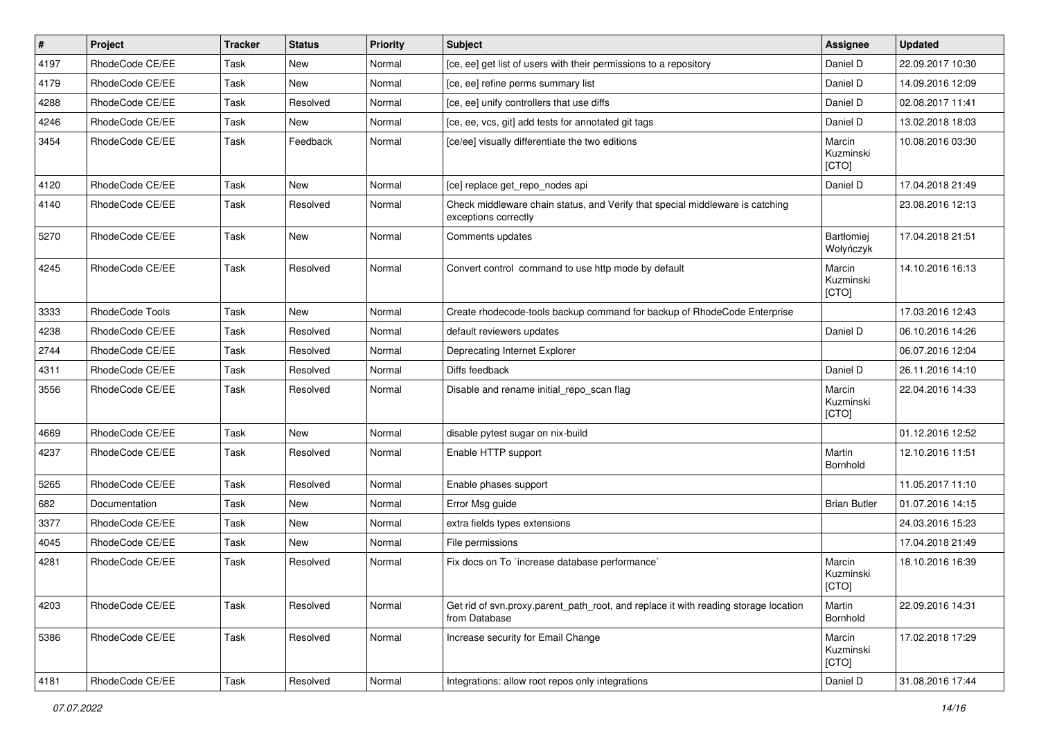| $\vert$ # | Project         | <b>Tracker</b> | <b>Status</b> | <b>Priority</b> | Subject                                                                                               | Assignee                     | <b>Updated</b>   |
|-----------|-----------------|----------------|---------------|-----------------|-------------------------------------------------------------------------------------------------------|------------------------------|------------------|
| 4197      | RhodeCode CE/EE | Task           | <b>New</b>    | Normal          | [ce, ee] get list of users with their permissions to a repository                                     | Daniel D                     | 22.09.2017 10:30 |
| 4179      | RhodeCode CE/EE | Task           | <b>New</b>    | Normal          | [ce, ee] refine perms summary list                                                                    | Daniel D                     | 14.09.2016 12:09 |
| 4288      | RhodeCode CE/EE | Task           | Resolved      | Normal          | [ce, ee] unify controllers that use diffs                                                             | Daniel D                     | 02.08.2017 11:41 |
| 4246      | RhodeCode CE/EE | Task           | New           | Normal          | [ce, ee, vcs, git] add tests for annotated git tags                                                   | Daniel D                     | 13.02.2018 18:03 |
| 3454      | RhodeCode CE/EE | Task           | Feedback      | Normal          | [ce/ee] visually differentiate the two editions                                                       | Marcin<br>Kuzminski<br>[CTO] | 10.08.2016 03:30 |
| 4120      | RhodeCode CE/EE | Task           | <b>New</b>    | Normal          | [ce] replace get_repo_nodes api                                                                       | Daniel D                     | 17.04.2018 21:49 |
| 4140      | RhodeCode CE/EE | Task           | Resolved      | Normal          | Check middleware chain status, and Verify that special middleware is catching<br>exceptions correctly |                              | 23.08.2016 12:13 |
| 5270      | RhodeCode CE/EE | Task           | <b>New</b>    | Normal          | Comments updates                                                                                      | Bartłomiej<br>Wołyńczyk      | 17.04.2018 21:51 |
| 4245      | RhodeCode CE/EE | Task           | Resolved      | Normal          | Convert control command to use http mode by default                                                   | Marcin<br>Kuzminski<br>[CTO] | 14.10.2016 16:13 |
| 3333      | RhodeCode Tools | Task           | <b>New</b>    | Normal          | Create rhodecode-tools backup command for backup of RhodeCode Enterprise                              |                              | 17.03.2016 12:43 |
| 4238      | RhodeCode CE/EE | Task           | Resolved      | Normal          | default reviewers updates                                                                             | Daniel D                     | 06.10.2016 14:26 |
| 2744      | RhodeCode CE/EE | Task           | Resolved      | Normal          | Deprecating Internet Explorer                                                                         |                              | 06.07.2016 12:04 |
| 4311      | RhodeCode CE/EE | Task           | Resolved      | Normal          | Diffs feedback                                                                                        | Daniel D                     | 26.11.2016 14:10 |
| 3556      | RhodeCode CE/EE | Task           | Resolved      | Normal          | Disable and rename initial_repo_scan flag                                                             | Marcin<br>Kuzminski<br>[CTO] | 22.04.2016 14:33 |
| 4669      | RhodeCode CE/EE | Task           | New           | Normal          | disable pytest sugar on nix-build                                                                     |                              | 01.12.2016 12:52 |
| 4237      | RhodeCode CE/EE | Task           | Resolved      | Normal          | Enable HTTP support                                                                                   | Martin<br>Bornhold           | 12.10.2016 11:51 |
| 5265      | RhodeCode CE/EE | Task           | Resolved      | Normal          | Enable phases support                                                                                 |                              | 11.05.2017 11:10 |
| 682       | Documentation   | Task           | <b>New</b>    | Normal          | Error Msg guide                                                                                       | <b>Brian Butler</b>          | 01.07.2016 14:15 |
| 3377      | RhodeCode CE/EE | Task           | <b>New</b>    | Normal          | extra fields types extensions                                                                         |                              | 24.03.2016 15:23 |
| 4045      | RhodeCode CE/EE | Task           | <b>New</b>    | Normal          | File permissions                                                                                      |                              | 17.04.2018 21:49 |
| 4281      | RhodeCode CE/EE | Task           | Resolved      | Normal          | Fix docs on To `increase database performance`                                                        | Marcin<br>Kuzminski<br>[CTO] | 18.10.2016 16:39 |
| 4203      | RhodeCode CE/EE | Task           | Resolved      | Normal          | Get rid of svn.proxy.parent_path_root, and replace it with reading storage location<br>from Database  | Martin<br>Bornhold           | 22.09.2016 14:31 |
| 5386      | RhodeCode CE/EE | Task           | Resolved      | Normal          | Increase security for Email Change                                                                    | Marcin<br>Kuzminski<br>[CTO] | 17.02.2018 17:29 |
| 4181      | RhodeCode CE/EE | Task           | Resolved      | Normal          | Integrations: allow root repos only integrations                                                      | Daniel D                     | 31.08.2016 17:44 |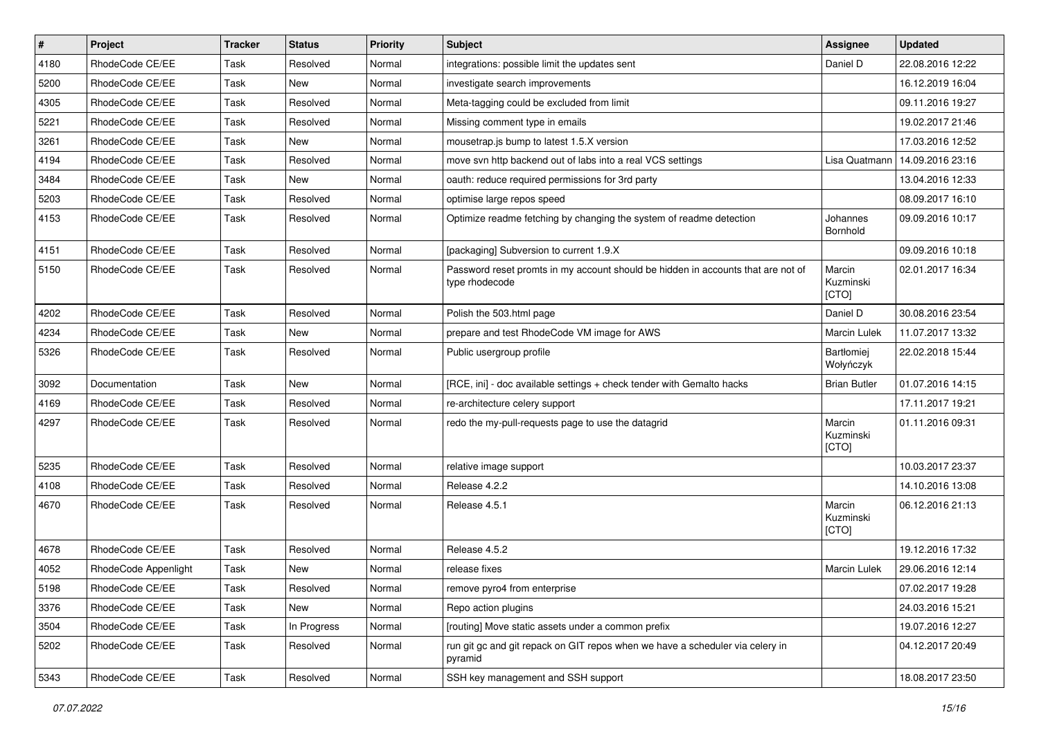| #    | Project              | <b>Tracker</b> | <b>Status</b> | Priority | <b>Subject</b>                                                                                     | <b>Assignee</b>              | <b>Updated</b>   |
|------|----------------------|----------------|---------------|----------|----------------------------------------------------------------------------------------------------|------------------------------|------------------|
| 4180 | RhodeCode CE/EE      | Task           | Resolved      | Normal   | integrations: possible limit the updates sent                                                      | Daniel D                     | 22.08.2016 12:22 |
| 5200 | RhodeCode CE/EE      | Task           | <b>New</b>    | Normal   | investigate search improvements                                                                    |                              | 16.12.2019 16:04 |
| 4305 | RhodeCode CE/EE      | Task           | Resolved      | Normal   | Meta-tagging could be excluded from limit                                                          |                              | 09.11.2016 19:27 |
| 5221 | RhodeCode CE/EE      | Task           | Resolved      | Normal   | Missing comment type in emails                                                                     |                              | 19.02.2017 21:46 |
| 3261 | RhodeCode CE/EE      | Task           | New           | Normal   | mousetrap.js bump to latest 1.5.X version                                                          |                              | 17.03.2016 12:52 |
| 4194 | RhodeCode CE/EE      | Task           | Resolved      | Normal   | move svn http backend out of labs into a real VCS settings                                         | Lisa Quatmann                | 14.09.2016 23:16 |
| 3484 | RhodeCode CE/EE      | Task           | New           | Normal   | oauth: reduce required permissions for 3rd party                                                   |                              | 13.04.2016 12:33 |
| 5203 | RhodeCode CE/EE      | Task           | Resolved      | Normal   | optimise large repos speed                                                                         |                              | 08.09.2017 16:10 |
| 4153 | RhodeCode CE/EE      | Task           | Resolved      | Normal   | Optimize readme fetching by changing the system of readme detection                                | Johannes<br>Bornhold         | 09.09.2016 10:17 |
| 4151 | RhodeCode CE/EE      | Task           | Resolved      | Normal   | [packaging] Subversion to current 1.9.X                                                            |                              | 09.09.2016 10:18 |
| 5150 | RhodeCode CE/EE      | Task           | Resolved      | Normal   | Password reset promts in my account should be hidden in accounts that are not of<br>type rhodecode | Marcin<br>Kuzminski<br>[CTO] | 02.01.2017 16:34 |
| 4202 | RhodeCode CE/EE      | Task           | Resolved      | Normal   | Polish the 503.html page                                                                           | Daniel D                     | 30.08.2016 23:54 |
| 4234 | RhodeCode CE/EE      | Task           | New           | Normal   | prepare and test RhodeCode VM image for AWS                                                        | <b>Marcin Lulek</b>          | 11.07.2017 13:32 |
| 5326 | RhodeCode CE/EE      | Task           | Resolved      | Normal   | Public usergroup profile                                                                           | Bartłomiej<br>Wołyńczyk      | 22.02.2018 15:44 |
| 3092 | Documentation        | Task           | New           | Normal   | [RCE, ini] - doc available settings + check tender with Gemalto hacks                              | <b>Brian Butler</b>          | 01.07.2016 14:15 |
| 4169 | RhodeCode CE/EE      | Task           | Resolved      | Normal   | re-architecture celery support                                                                     |                              | 17.11.2017 19:21 |
| 4297 | RhodeCode CE/EE      | Task           | Resolved      | Normal   | redo the my-pull-requests page to use the datagrid                                                 | Marcin<br>Kuzminski<br>[CTO] | 01.11.2016 09:31 |
| 5235 | RhodeCode CE/EE      | Task           | Resolved      | Normal   | relative image support                                                                             |                              | 10.03.2017 23:37 |
| 4108 | RhodeCode CE/EE      | Task           | Resolved      | Normal   | Release 4.2.2                                                                                      |                              | 14.10.2016 13:08 |
| 4670 | RhodeCode CE/EE      | Task           | Resolved      | Normal   | Release 4.5.1                                                                                      | Marcin<br>Kuzminski<br>[CTO] | 06.12.2016 21:13 |
| 4678 | RhodeCode CE/EE      | Task           | Resolved      | Normal   | Release 4.5.2                                                                                      |                              | 19.12.2016 17:32 |
| 4052 | RhodeCode Appenlight | Task           | New           | Normal   | release fixes                                                                                      | <b>Marcin Lulek</b>          | 29.06.2016 12:14 |
| 5198 | RhodeCode CE/EE      | Task           | Resolved      | Normal   | remove pyro4 from enterprise                                                                       |                              | 07.02.2017 19:28 |
| 3376 | RhodeCode CE/EE      | Task           | New           | Normal   | Repo action plugins                                                                                |                              | 24.03.2016 15:21 |
| 3504 | RhodeCode CE/EE      | Task           | In Progress   | Normal   | [routing] Move static assets under a common prefix                                                 |                              | 19.07.2016 12:27 |
| 5202 | RhodeCode CE/EE      | Task           | Resolved      | Normal   | run git gc and git repack on GIT repos when we have a scheduler via celery in<br>pyramid           |                              | 04.12.2017 20:49 |
| 5343 | RhodeCode CE/EE      | Task           | Resolved      | Normal   | SSH key management and SSH support                                                                 |                              | 18.08.2017 23:50 |